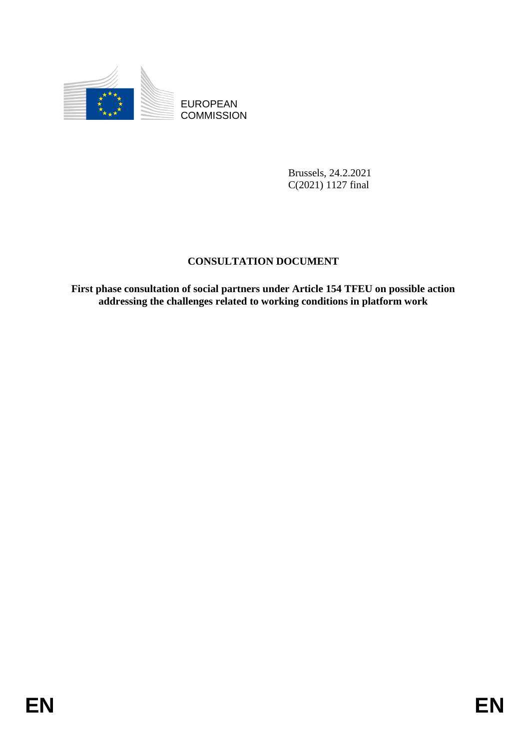

**COMMISSION** 

Brussels, 24.2.2021 C(2021) 1127 final

# **CONSULTATION DOCUMENT**

EUROPEAN<br>
EUROPEAN<br>
ENERGIN COMMUSSION<br>
Brussels, 24,2,2021<br>
CONSULTATION DOCUMENT<br>
First phase consultation of social partners under Article 154 TFEU on possible aetion<br>
addressing the challenges related to working condit **First phase consultation of social partners under Article 154 TFEU on possible action addressing the challenges related to working conditions in platform work**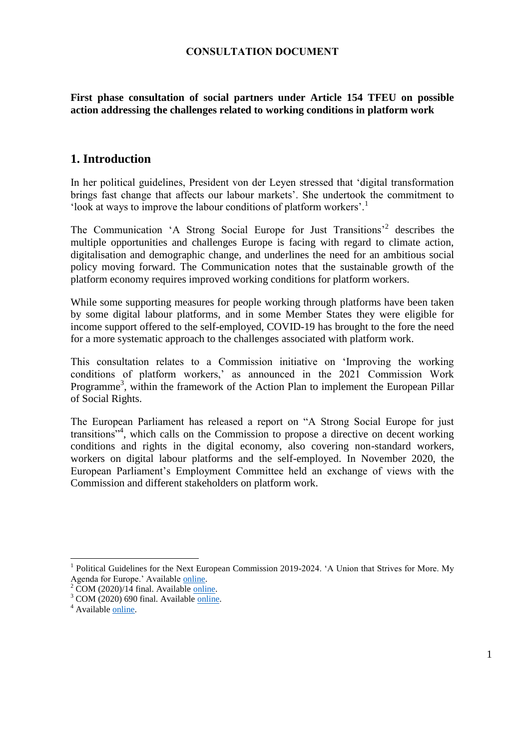### **CONSULTATION DOCUMENT**

**First phase consultation of social partners under Article 154 TFEU on possible action addressing the challenges related to working conditions in platform work**

## **1. Introduction**

In her political guidelines, President von der Leyen stressed that 'digital transformation brings fast change that affects our labour markets'. She undertook the commitment to 'look at ways to improve the labour conditions of platform workers'.<sup>1</sup>

The Communication 'A Strong Social Europe for Just Transitions'<sup>2</sup> describes the multiple opportunities and challenges Europe is facing with regard to climate action, digitalisation and demographic change, and underlines the need for an ambitious social policy moving forward. The Communication notes that the sustainable growth of the platform economy requires improved working conditions for platform workers.

While some supporting measures for people working through platforms have been taken by some digital labour platforms, and in some Member States they were eligible for income support offered to the self-employed, COVID-19 has brought to the fore the need for a more systematic approach to the challenges associated with platform work.

This consultation relates to a Commission initiative on 'Improving the working conditions of platform workers,' as announced in the 2021 Commission Work Programme<sup>3</sup>, within the framework of the Action Plan to implement the European Pillar of Social Rights.

The European Parliament has released a report on "A Strong Social Europe for just transitions"<sup>4</sup>, which calls on the Commission to propose a directive on decent working conditions and rights in the digital economy, also covering non-standard workers, workers on digital labour platforms and the self-employed. In November 2020, the European Parliament's Employment Committee held an exchange of views with the Commission and different stakeholders on platform work.

<sup>1</sup> Political Guidelines for the Next European Commission 2019-2024. 'A Union that Strives for More. My Agenda for Europe.' Availabl[e online.](https://www.google.com/url?sa=t&rct=j&q=&esrc=s&source=web&cd=&ved=2ahUKEwil94y4t47sAhVSRBoKHQZ4DA8QFjAAegQIAxAB&url=https%3A%2F%2Fec.europa.eu%2Fcommission%2Fsites%2Fbeta-political%2Ffiles%2Fpolitical-guidelines-next-commission_en.pdf&usg=AOvVaw2OKjyG_VINutGTPCgG6LbG)

 $2$  COM (2020)/14 final. Available [online.](https://ec.europa.eu/commission/presscorner/detail/en/fs_20_49)

 $3$  COM (2020) 690 final. Availabl[e online.](https://ec.europa.eu/info/publications/2021-commission-work-programme-key-documents_en)

<sup>&</sup>lt;sup>4</sup> Available [online.](https://www.europarl.europa.eu/doceo/document/A-9-2020-0233_EN.html)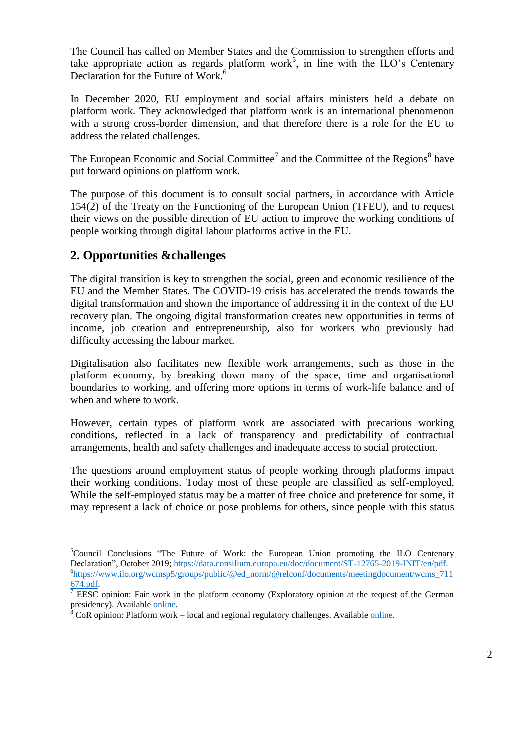The Council has called on Member States and the Commission to strengthen efforts and take appropriate action as regards platform work<sup>5</sup>, in line with the  $\text{ILO's}$  Centenary Declaration for the Future of Work.<sup>6</sup>

In December 2020, EU employment and social affairs ministers held a debate on platform work. They acknowledged that platform work is an international phenomenon with a strong cross-border dimension, and that therefore there is a role for the EU to address the related challenges.

The European Economic and Social Committee<sup>7</sup> and the Committee of the Regions<sup>8</sup> have put forward opinions on platform work.

The purpose of this document is to consult social partners, in accordance with Article 154(2) of the Treaty on the Functioning of the European Union (TFEU), and to request their views on the possible direction of EU action to improve the working conditions of people working through digital labour platforms active in the EU.

# **2. Opportunities &challenges**

 $\overline{a}$ 

The digital transition is key to strengthen the social, green and economic resilience of the EU and the Member States. The COVID-19 crisis has accelerated the trends towards the digital transformation and shown the importance of addressing it in the context of the EU recovery plan. The ongoing digital transformation creates new opportunities in terms of income, job creation and entrepreneurship, also for workers who previously had difficulty accessing the labour market.

Digitalisation also facilitates new flexible work arrangements, such as those in the platform economy, by breaking down many of the space, time and organisational boundaries to working, and offering more options in terms of work-life balance and of when and where to work.

However, certain types of platform work are associated with precarious working conditions, reflected in a lack of transparency and predictability of contractual arrangements, health and safety challenges and inadequate access to social protection.

The questions around employment status of people working through platforms impact their working conditions. Today most of these people are classified as self-employed. While the self-employed status may be a matter of free choice and preference for some, it may represent a lack of choice or pose problems for others, since people with this status

<sup>&</sup>lt;sup>5</sup>Council Conclusions "The Future of Work: the European Union promoting the ILO Centenary Declaration", October 2019; [https://data.consilium.europa.eu/doc/document/ST-12765-2019-INIT/en/pdf.](https://data.consilium.europa.eu/doc/document/ST-12765-2019-INIT/en/pdf) 6 [https://www.ilo.org/wcmsp5/groups/public/@ed\\_norm/@relconf/documents/meetingdocument/wcms\\_711](https://www.ilo.org/wcmsp5/groups/public/@ed_norm/@relconf/documents/meetingdocument/wcms_711674.pdf) [674.pdf.](https://www.ilo.org/wcmsp5/groups/public/@ed_norm/@relconf/documents/meetingdocument/wcms_711674.pdf)

<sup>7</sup> EESC opinion: Fair work in the platform economy (Exploratory opinion at the request of the German presidency). Available [online.](https://www.eesc.europa.eu/en/our-work/opinions-information-reports/opinions/fair-work-platform-economy-exploratory-opinion-request-german-presidency)

 $\rm ^8$  CoR opinion: Platform work – local and regional regulatory challenges. Available [online.](https://cor.europa.eu/en/our-work/Pages/OpinionTimeline.aspx?opId=CDR-2655-2019)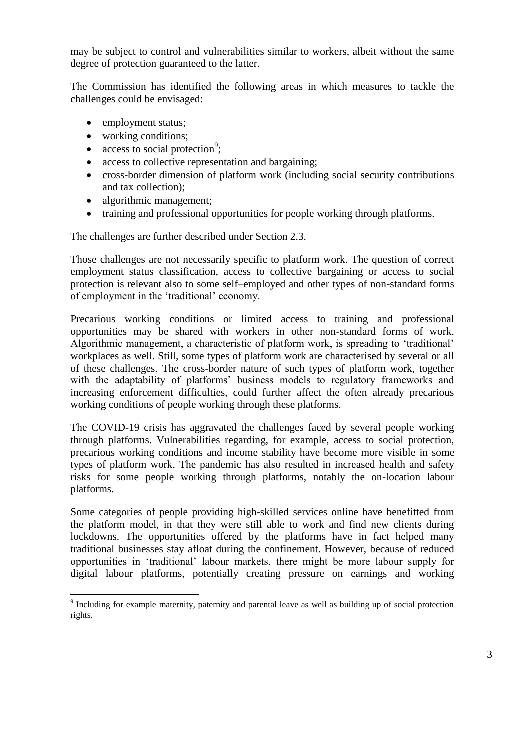may be subject to control and vulnerabilities similar to workers, albeit without the same degree of protection guaranteed to the latter.

The Commission has identified the following areas in which measures to tackle the challenges could be envisaged:

- employment status:
- working conditions;
- access to social protection<sup>9</sup>;
- access to collective representation and bargaining;
- cross-border dimension of platform work (including social security contributions and tax collection);
- algorithmic management;
- training and professional opportunities for people working through platforms.

The challenges are further described under Section 2.3.

Those challenges are not necessarily specific to platform work. The question of correct employment status classification, access to collective bargaining or access to social protection is relevant also to some self–employed and other types of non-standard forms of employment in the 'traditional' economy.

Precarious working conditions or limited access to training and professional opportunities may be shared with workers in other non-standard forms of work. Algorithmic management, a characteristic of platform work, is spreading to 'traditional' workplaces as well. Still, some types of platform work are characterised by several or all of these challenges. The cross-border nature of such types of platform work, together with the adaptability of platforms' business models to regulatory frameworks and increasing enforcement difficulties, could further affect the often already precarious working conditions of people working through these platforms.

The COVID-19 crisis has aggravated the challenges faced by several people working through platforms. Vulnerabilities regarding, for example, access to social protection, precarious working conditions and income stability have become more visible in some types of platform work. The pandemic has also resulted in increased health and safety risks for some people working through platforms, notably the on-location labour platforms.

Some categories of people providing high-skilled services online have benefitted from the platform model, in that they were still able to work and find new clients during lockdowns. The opportunities offered by the platforms have in fact helped many traditional businesses stay afloat during the confinement. However, because of reduced opportunities in 'traditional' labour markets, there might be more labour supply for digital labour platforms, potentially creating pressure on earnings and working

<sup>&</sup>lt;sup>9</sup> Including for example maternity, paternity and parental leave as well as building up of social protection rights.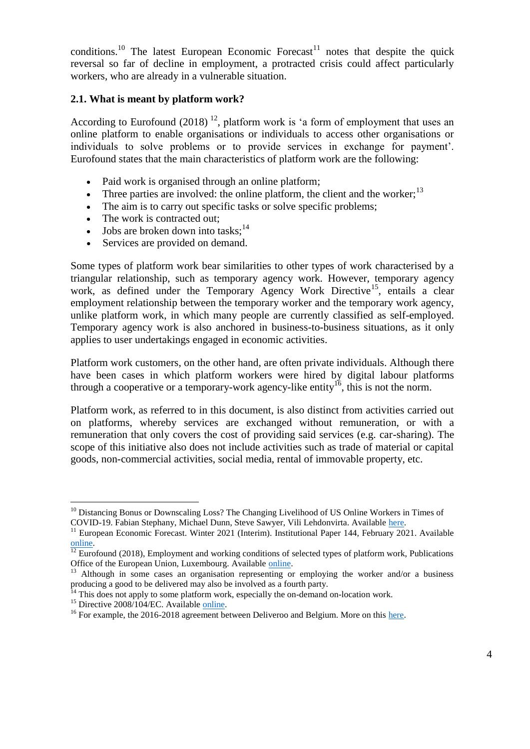conditions.<sup>10</sup> The latest European Economic Forecast<sup>11</sup> notes that despite the quick reversal so far of decline in employment, a protracted crisis could affect particularly workers, who are already in a vulnerable situation.

#### **2.1. What is meant by platform work?**

According to Eurofound  $(2018)$  <sup>12</sup>, platform work is 'a form of employment that uses an online platform to enable organisations or individuals to access other organisations or individuals to solve problems or to provide services in exchange for payment'. Eurofound states that the main characteristics of platform work are the following:

- Paid work is organised through an online platform;
- Three parties are involved: the online platform, the client and the worker;  $13$
- The aim is to carry out specific tasks or solve specific problems;
- The work is contracted out;
- Jobs are broken down into tasks: $14$
- Services are provided on demand.

Some types of platform work bear similarities to other types of work characterised by a triangular relationship, such as temporary agency work. However, temporary agency work, as defined under the Temporary Agency Work Directive<sup>15</sup>, entails a clear employment relationship between the temporary worker and the temporary work agency, unlike platform work, in which many people are currently classified as self-employed. Temporary agency work is also anchored in business-to-business situations, as it only applies to user undertakings engaged in economic activities.

Platform work customers, on the other hand, are often private individuals. Although there have been cases in which platform workers were hired by digital labour platforms through a cooperative or a temporary-work agency-like entity<sup>16</sup>, this is not the norm.

Platform work, as referred to in this document, is also distinct from activities carried out on platforms, whereby services are exchanged without remuneration, or with a remuneration that only covers the cost of providing said services (e.g. car-sharing). The scope of this initiative also does not include activities such as trade of material or capital goods, non-commercial activities, social media, rental of immovable property, etc.

<sup>&</sup>lt;sup>10</sup> Distancing Bonus or Downscaling Loss? The Changing Livelihood of US Online Workers in Times of COVID-19. Fabian Stephany, Michael Dunn, Steve Sawyer, Vili Lehdonvirta. Available [here.](https://osf.io/preprints/socarxiv/vmg34)

<sup>&</sup>lt;sup>11</sup> European Economic Forecast. Winter 2021 (Interim). Institutional Paper 144, February 2021. Available [online.](https://ec.europa.eu/info/business-economy-euro/economic-performance-and-forecasts/economic-forecasts/winter-2021-economic-forecast-challenging-winter-light-end-tunnel_en)

 $12$  Eurofound (2018), Employment and working conditions of selected types of platform work, Publications Office of the European Union, Luxembourg. Available [online.](https://www.eurofound.europa.eu/publications/report/2018/employment-and-working-conditions-of-selected-types-of-platform-work)

<sup>&</sup>lt;sup>13</sup> Although in some cases an organisation representing or employing the worker and/or a business producing a good to be delivered may also be involved as a fourth party.

 $14$ <sup>14</sup> This does not apply to some platform work, especially the on-demand on-location work.

<sup>&</sup>lt;sup>15</sup> Directive 2008/104/EC. Available <u>online</u>.

<sup>&</sup>lt;sup>16</sup> For example, the 2016-2018 agreement between Deliveroo and Belgium. More on this [here.](https://www.etui.org/publications/working-papers/work-in-the-platform-economy-deliveroo-riders-in-belgium-and-the-smart-arrangement)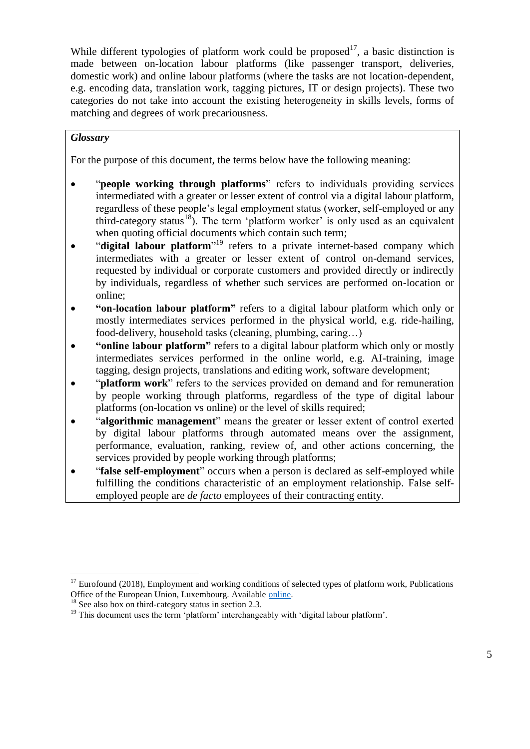While different typologies of platform work could be proposed<sup>17</sup>, a basic distinction is made between on-location labour platforms (like passenger transport, deliveries, domestic work) and online labour platforms (where the tasks are not location-dependent, e.g. encoding data, translation work, tagging pictures, IT or design projects). These two categories do not take into account the existing heterogeneity in skills levels, forms of matching and degrees of work precariousness.

## *Glossary*

For the purpose of this document, the terms below have the following meaning:

- "**people working through platforms**" refers to individuals providing services intermediated with a greater or lesser extent of control via a digital labour platform, regardless of these people's legal employment status (worker, self-employed or any third-category status<sup>18</sup>). The term 'platform worker' is only used as an equivalent when quoting official documents which contain such term;
- "digital labour platform<sup>" i9</sup> refers to a private internet-based company which intermediates with a greater or lesser extent of control on-demand services, requested by individual or corporate customers and provided directly or indirectly by individuals, regardless of whether such services are performed on-location or online;
- **"on-location labour platform"** refers to a digital labour platform which only or mostly intermediates services performed in the physical world, e.g. ride-hailing, food-delivery, household tasks (cleaning, plumbing, caring…)
- **"online labour platform"** refers to a digital labour platform which only or mostly intermediates services performed in the online world, e.g. AI-training, image tagging, design projects, translations and editing work, software development;
- "**platform work**" refers to the services provided on demand and for remuneration by people working through platforms, regardless of the type of digital labour platforms (on-location vs online) or the level of skills required;
- "**algorithmic management**" means the greater or lesser extent of control exerted by digital labour platforms through automated means over the assignment, performance, evaluation, ranking, review of, and other actions concerning, the services provided by people working through platforms;
- "**false self-employment**" occurs when a person is declared as self-employed while fulfilling the conditions characteristic of an employment relationship. False selfemployed people are *de facto* employees of their contracting entity.

 $17$  Eurofound (2018), Employment and working conditions of selected types of platform work, Publications Office of the European Union, Luxembourg. Available [online.](https://www.eurofound.europa.eu/publications/report/2018/employment-and-working-conditions-of-selected-types-of-platform-work)

<sup>&</sup>lt;sup>18</sup> See also box on third-category status in section 2.3.

<sup>&</sup>lt;sup>19</sup> This document uses the term 'platform' interchangeably with 'digital labour platform'.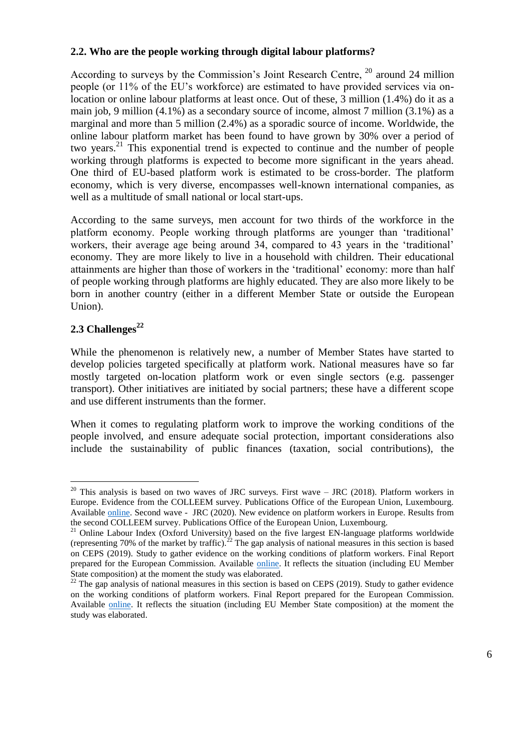## **2.2. Who are the people working through digital labour platforms?**

According to surveys by the Commission's Joint Research Centre, <sup>20</sup> around 24 million people (or 11% of the EU's workforce) are estimated to have provided services via onlocation or online labour platforms at least once. Out of these, 3 million (1.4%) do it as a main job, 9 million (4.1%) as a secondary source of income, almost 7 million (3.1%) as a marginal and more than 5 million (2.4%) as a sporadic source of income. Worldwide, the online labour platform market has been found to have grown by 30% over a period of two years.<sup>21</sup> This exponential trend is expected to continue and the number of people working through platforms is expected to become more significant in the years ahead. One third of EU-based platform work is estimated to be cross-border. The platform economy, which is very diverse, encompasses well-known international companies, as well as a multitude of small national or local start-ups.

According to the same surveys, men account for two thirds of the workforce in the platform economy. People working through platforms are younger than 'traditional' workers, their average age being around 34, compared to 43 years in the 'traditional' economy. They are more likely to live in a household with children. Their educational attainments are higher than those of workers in the 'traditional' economy: more than half of people working through platforms are highly educated. They are also more likely to be born in another country (either in a different Member State or outside the European Union).

# **2.3 Challenges<sup>22</sup>**

 $\overline{a}$ 

While the phenomenon is relatively new, a number of Member States have started to develop policies targeted specifically at platform work. National measures have so far mostly targeted on-location platform work or even single sectors (e.g. passenger transport). Other initiatives are initiated by social partners; these have a different scope and use different instruments than the former.

When it comes to regulating platform work to improve the working conditions of the people involved, and ensure adequate social protection, important considerations also include the sustainability of public finances (taxation, social contributions), the

 $20$  This analysis is based on two waves of JRC surveys. First wave  $-$  JRC (2018). Platform workers in Europe. Evidence from the COLLEEM survey. Publications Office of the European Union, Luxembourg. Available [online.](https://publications.jrc.ec.europa.eu/repository/bitstream/JRC112157/jrc112157_pubsy_platform_workers_in_europe_science_for_policy.pdf) Second wave - JRC (2020). New evidence on platform workers in Europe. Results from the second COLLEEM survey. Publications Office of the European Union, Luxembourg.

<sup>&</sup>lt;sup>21</sup> Online Labour Index (Oxford University) based on the five largest EN-language platforms worldwide (representing 70% of the market by traffic).<sup>22</sup> The gap analysis of national measures in this section is based on CEPS (2019). Study to gather evidence on the working conditions of platform workers. Final Report prepared for the European Commission. Available [online.](https://ec.europa.eu/social/main.jsp?catId=738&langId=en&pubId=8280) It reflects the situation (including EU Member State composition) at the moment the study was elaborated.

 $22$  The gap analysis of national measures in this section is based on CEPS (2019). Study to gather evidence on the working conditions of platform workers. Final Report prepared for the European Commission. Available [online.](https://ec.europa.eu/social/main.jsp?catId=738&langId=en&pubId=8280) It reflects the situation (including EU Member State composition) at the moment the study was elaborated.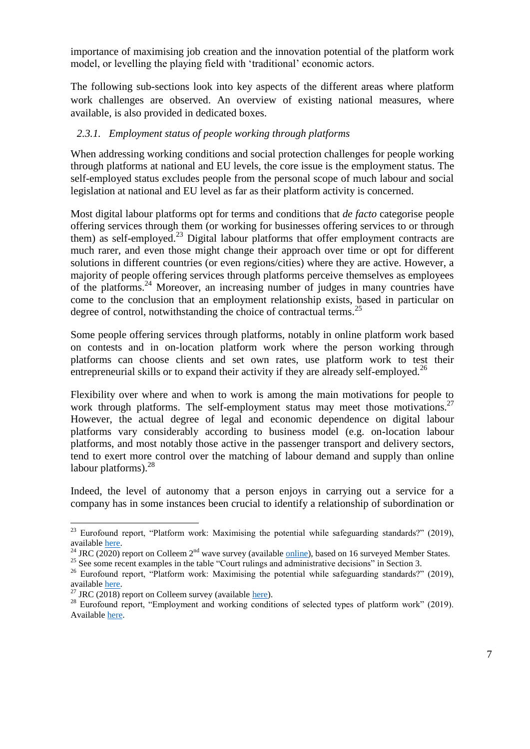importance of maximising job creation and the innovation potential of the platform work model, or levelling the playing field with 'traditional' economic actors.

The following sub-sections look into key aspects of the different areas where platform work challenges are observed. An overview of existing national measures, where available, is also provided in dedicated boxes.

### *2.3.1. Employment status of people working through platforms*

When addressing working conditions and social protection challenges for people working through platforms at national and EU levels, the core issue is the employment status. The self-employed status excludes people from the personal scope of much labour and social legislation at national and EU level as far as their platform activity is concerned.

Most digital labour platforms opt for terms and conditions that *de facto* categorise people offering services through them (or working for businesses offering services to or through them) as self-employed.<sup>23</sup> Digital labour platforms that offer employment contracts are much rarer, and even those might change their approach over time or opt for different solutions in different countries (or even regions/cities) where they are active. However, a majority of people offering services through platforms perceive themselves as employees of the platforms.<sup>24</sup> Moreover, an increasing number of judges in many countries have come to the conclusion that an employment relationship exists, based in particular on degree of control, notwithstanding the choice of contractual terms.<sup>25</sup>

Some people offering services through platforms, notably in online platform work based on contests and in on-location platform work where the person working through platforms can choose clients and set own rates, use platform work to test their entrepreneurial skills or to expand their activity if they are already self-employed.<sup>26</sup>

Flexibility over where and when to work is among the main motivations for people to work through platforms. The self-employment status may meet those motivations.<sup>27</sup> However, the actual degree of legal and economic dependence on digital labour platforms vary considerably according to business model (e.g. on-location labour platforms, and most notably those active in the passenger transport and delivery sectors, tend to exert more control over the matching of labour demand and supply than online labour platforms). $^{28}$ 

Indeed, the level of autonomy that a person enjoys in carrying out a service for a company has in some instances been crucial to identify a relationship of subordination or

 $23$  Eurofound report, "Platform work: Maximising the potential while safeguarding standards?" (2019), available [here.](https://www.eurofound.europa.eu/sites/default/files/ef_publication/field_ef_document/ef19045en.pdf)

<sup>&</sup>lt;sup>24</sup> JRC (2020) report on Colleem 2<sup>nd</sup> wave survey (available **online**), based on 16 surveyed Member States.

<sup>&</sup>lt;sup>25</sup> See some recent examples in the table "Court rulings and administrative decisions" in Section 3.

<sup>&</sup>lt;sup>26</sup> Eurofound report, "Platform work: Maximising the potential while safeguarding standards?" (2019), available [here.](https://www.eurofound.europa.eu/sites/default/files/ef_publication/field_ef_document/ef19045en.pdf)

<sup>&</sup>lt;sup>27</sup> JRC (2018) report on Colleem survey (available [here\)](https://publications.jrc.ec.europa.eu/repository/bitstream/JRC112157/jrc112157_pubsy_platform_workers_in_europe_science_for_policy.pdf).

<sup>&</sup>lt;sup>28</sup> Eurofound report, "Employment and working conditions of selected types of platform work" (2019). Availabl[e here.](https://www.eurofound.europa.eu/publications/report/2018/employment-and-working-conditions-of-selected-types-of-platform-work)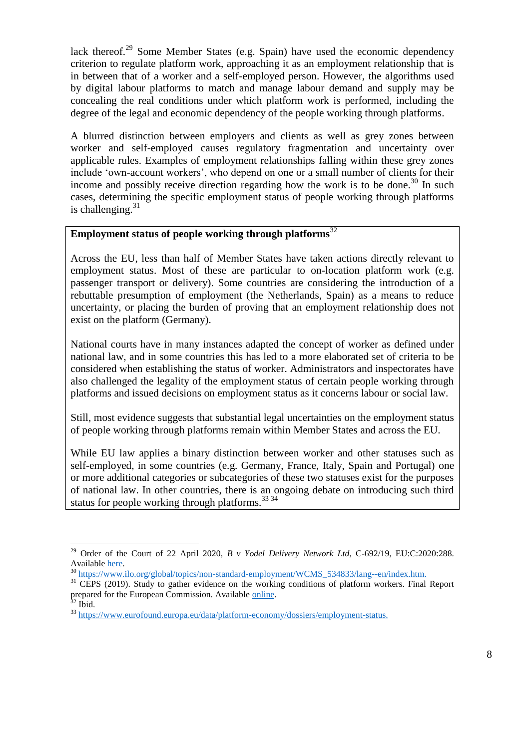lack thereof.<sup>29</sup> Some Member States (e.g. Spain) have used the economic dependency criterion to regulate platform work, approaching it as an employment relationship that is in between that of a worker and a self-employed person. However, the algorithms used by digital labour platforms to match and manage labour demand and supply may be concealing the real conditions under which platform work is performed, including the degree of the legal and economic dependency of the people working through platforms.

A blurred distinction between employers and clients as well as grey zones between worker and self-employed causes regulatory fragmentation and uncertainty over applicable rules. Examples of employment relationships falling within these grey zones include 'own-account workers', who depend on one or a small number of clients for their income and possibly receive direction regarding how the work is to be done.<sup>30</sup> In such cases, determining the specific employment status of people working through platforms is challenging. $31$ 

## **Employment status of people working through platforms**<sup>32</sup>

Across the EU, less than half of Member States have taken actions directly relevant to employment status. Most of these are particular to on-location platform work (e.g. passenger transport or delivery). Some countries are considering the introduction of a rebuttable presumption of employment (the Netherlands, Spain) as a means to reduce uncertainty, or placing the burden of proving that an employment relationship does not exist on the platform (Germany).

National courts have in many instances adapted the concept of worker as defined under national law, and in some countries this has led to a more elaborated set of criteria to be considered when establishing the status of worker. Administrators and inspectorates have also challenged the legality of the employment status of certain people working through platforms and issued decisions on employment status as it concerns labour or social law.

Still, most evidence suggests that substantial legal uncertainties on the employment status of people working through platforms remain within Member States and across the EU.

While EU law applies a binary distinction between worker and other statuses such as self-employed, in some countries (e.g. Germany, France, Italy, Spain and Portugal) one or more additional categories or subcategories of these two statuses exist for the purposes of national law. In other countries, there is an ongoing debate on introducing such third status for people working through platforms.  $33\frac{34}{9}$ 

 $\overline{a}$ <sup>29</sup> Order of the Court of 22 April 2020, *B v Yodel Delivery Network Ltd*, C-692/19, EU:C:2020:288. Availabl[e here.](https://eur-lex.europa.eu/legal-content/EN/TXT/?uri=CELEX%3A62019CO0692)

<sup>&</sup>lt;sup>30</sup> [https://www.ilo.org/global/topics/non-standard-employment/WCMS\\_534833/lang--en/index.htm.](https://www.ilo.org/global/topics/non-standard-employment/WCMS_534833/lang--en/index.htm)

<sup>&</sup>lt;sup>31</sup> CEPS (2019). Study to gather evidence on the working conditions of platform workers. Final Report prepared for the European Commission. Available [online.](https://ec.europa.eu/social/main.jsp?catId=738&langId=en&pubId=8280)

 $32$  Ibid.

<sup>&</sup>lt;sup>33</sup> [https://www.eurofound.europa.eu/data/platform-economy/dossiers/employment-status.](https://www.eurofound.europa.eu/data/platform-economy/dossiers/employment-status)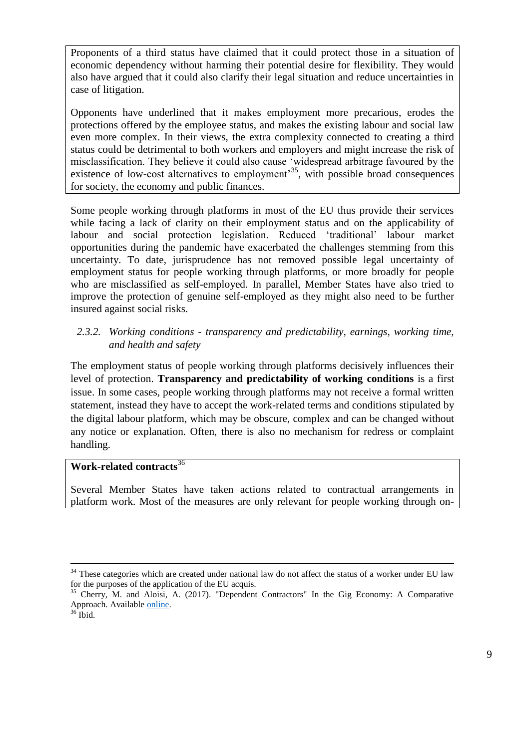Proponents of a third status have claimed that it could protect those in a situation of economic dependency without harming their potential desire for flexibility. They would also have argued that it could also clarify their legal situation and reduce uncertainties in case of litigation.

Opponents have underlined that it makes employment more precarious, erodes the protections offered by the employee status, and makes the existing labour and social law even more complex. In their views, the extra complexity connected to creating a third status could be detrimental to both workers and employers and might increase the risk of misclassification. They believe it could also cause 'widespread arbitrage favoured by the existence of low-cost alternatives to employment<sup>35</sup>, with possible broad consequences for society, the economy and public finances.

Some people working through platforms in most of the EU thus provide their services while facing a lack of clarity on their employment status and on the applicability of labour and social protection legislation. Reduced 'traditional' labour market opportunities during the pandemic have exacerbated the challenges stemming from this uncertainty. To date, jurisprudence has not removed possible legal uncertainty of employment status for people working through platforms, or more broadly for people who are misclassified as self-employed. In parallel, Member States have also tried to improve the protection of genuine self-employed as they might also need to be further insured against social risks.

## *2.3.2. Working conditions - transparency and predictability, earnings, working time, and health and safety*

The employment status of people working through platforms decisively influences their level of protection. **Transparency and predictability of working conditions** is a first issue. In some cases, people working through platforms may not receive a formal written statement, instead they have to accept the work-related terms and conditions stipulated by the digital labour platform, which may be obscure, complex and can be changed without any notice or explanation. Often, there is also no mechanism for redress or complaint handling.

# **Work-related contracts**<sup>36</sup>

Several Member States have taken actions related to contractual arrangements in platform work. Most of the measures are only relevant for people working through on-

 $34$  These categories which are created under national law do not affect the status of a worker under EU law for the purposes of the application of the EU acquis.

 $35$  Cherry, M. and Aloisi, A. (2017). "Dependent Contractors" In the Gig Economy: A Comparative Approach. Available [online.](https://papers.ssrn.com/sol3/papers.cfm?abstract_id=2847869)

 $36$  Ibid.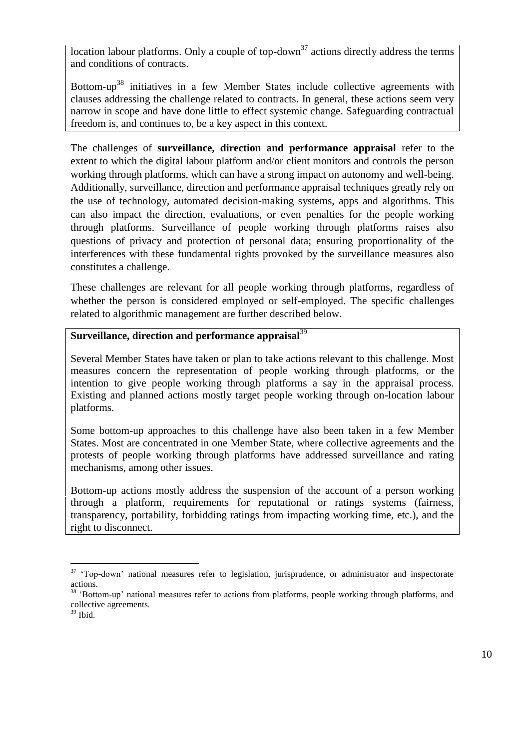location labour platforms. Only a couple of top-down<sup>37</sup> actions directly address the terms and conditions of contracts.

Bottom-up<sup>38</sup> initiatives in a few Member States include collective agreements with clauses addressing the challenge related to contracts. In general, these actions seem very narrow in scope and have done little to effect systemic change. Safeguarding contractual freedom is, and continues to, be a key aspect in this context.

The challenges of **surveillance, direction and performance appraisal** refer to the extent to which the digital labour platform and/or client monitors and controls the person working through platforms, which can have a strong impact on autonomy and well-being. Additionally, surveillance, direction and performance appraisal techniques greatly rely on the use of technology, automated decision-making systems, apps and algorithms. This can also impact the direction, evaluations, or even penalties for the people working through platforms. Surveillance of people working through platforms raises also questions of privacy and protection of personal data; ensuring proportionality of the interferences with these fundamental rights provoked by the surveillance measures also constitutes a challenge.

These challenges are relevant for all people working through platforms, regardless of whether the person is considered employed or self-employed. The specific challenges related to algorithmic management are further described below.

# **Surveillance, direction and performance appraisal**<sup>39</sup>

Several Member States have taken or plan to take actions relevant to this challenge. Most measures concern the representation of people working through platforms, or the intention to give people working through platforms a say in the appraisal process. Existing and planned actions mostly target people working through on-location labour platforms.

Some bottom-up approaches to this challenge have also been taken in a few Member States. Most are concentrated in one Member State, where collective agreements and the protests of people working through platforms have addressed surveillance and rating mechanisms, among other issues.

Bottom-up actions mostly address the suspension of the account of a person working through a platform, requirements for reputational or ratings systems (fairness, transparency, portability, forbidding ratings from impacting working time, etc.), and the right to disconnect.

 $37$  'Top-down' national measures refer to legislation, jurisprudence, or administrator and inspectorate actions.

<sup>&</sup>lt;sup>38</sup> 'Bottom-up' national measures refer to actions from platforms, people working through platforms, and collective agreements.

 $39$  Ibid.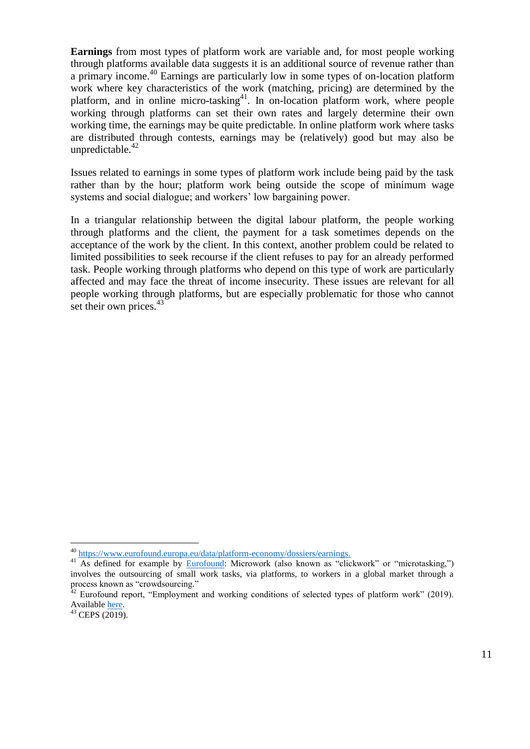**Earnings** from most types of platform work are variable and, for most people working through platforms available data suggests it is an additional source of revenue rather than a primary income.<sup>40</sup> Earnings are particularly low in some types of on-location platform work where key characteristics of the work (matching, pricing) are determined by the platform, and in online micro-tasking $4$ <sup>1</sup>. In on-location platform work, where people working through platforms can set their own rates and largely determine their own working time, the earnings may be quite predictable. In online platform work where tasks are distributed through contests, earnings may be (relatively) good but may also be unpredictable. $42$ 

Issues related to earnings in some types of platform work include being paid by the task rather than by the hour; platform work being outside the scope of minimum wage systems and social dialogue; and workers' low bargaining power.

In a triangular relationship between the digital labour platform, the people working through platforms and the client, the payment for a task sometimes depends on the acceptance of the work by the client. In this context, another problem could be related to limited possibilities to seek recourse if the client refuses to pay for an already performed task. People working through platforms who depend on this type of work are particularly affected and may face the threat of income insecurity. These issues are relevant for all people working through platforms, but are especially problematic for those who cannot set their own prices.<sup>43</sup>

<sup>40</sup> [https://www.eurofound.europa.eu/data/platform-economy/dossiers/earnings.](https://www.eurofound.europa.eu/data/platform-economy/dossiers/earnings)

<sup>&</sup>lt;sup>41</sup> As defined for example by [Eurofound:](https://www.eurofound.europa.eu/data/platform-economy/records/microworkers-of-the-gig-economy-separate-and-precarious) Microwork (also known as "clickwork" or "microtasking,") involves the outsourcing of small work tasks, via platforms, to workers in a global market through a process known as "crowdsourcing."

 $42$  Eurofound report, "Employment and working conditions of selected types of platform work" (2019). Available **here**.

 $43$  CEPS (2019).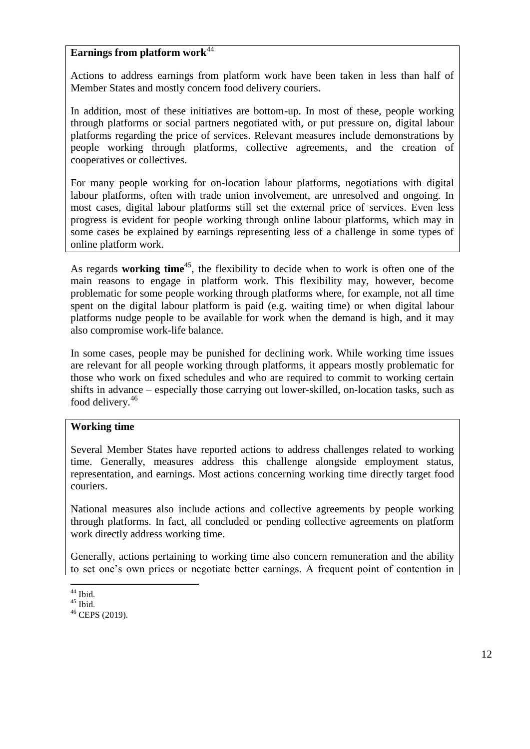### **Earnings from platform work**<sup>44</sup>

Actions to address earnings from platform work have been taken in less than half of Member States and mostly concern food delivery couriers.

In addition, most of these initiatives are bottom-up. In most of these, people working through platforms or social partners negotiated with, or put pressure on, digital labour platforms regarding the price of services. Relevant measures include demonstrations by people working through platforms, collective agreements, and the creation of cooperatives or collectives.

For many people working for on-location labour platforms, negotiations with digital labour platforms, often with trade union involvement, are unresolved and ongoing. In most cases, digital labour platforms still set the external price of services. Even less progress is evident for people working through online labour platforms, which may in some cases be explained by earnings representing less of a challenge in some types of online platform work.

As regards **working time**<sup>45</sup> , the flexibility to decide when to work is often one of the main reasons to engage in platform work. This flexibility may, however, become problematic for some people working through platforms where, for example, not all time spent on the digital labour platform is paid (e.g. waiting time) or when digital labour platforms nudge people to be available for work when the demand is high, and it may also compromise work-life balance.

In some cases, people may be punished for declining work. While working time issues are relevant for all people working through platforms, it appears mostly problematic for those who work on fixed schedules and who are required to commit to working certain shifts in advance – especially those carrying out lower-skilled, on-location tasks, such as food delivery.<sup>46</sup>

### **Working time**

Several Member States have reported actions to address challenges related to working time. Generally, measures address this challenge alongside employment status, representation, and earnings. Most actions concerning working time directly target food couriers.

National measures also include actions and collective agreements by people working through platforms. In fact, all concluded or pending collective agreements on platform work directly address working time.

Generally, actions pertaining to working time also concern remuneration and the ability to set one's own prices or negotiate better earnings. A frequent point of contention in

 $44$  Ibid.

 $45$  Ibid.

 $46$  CEPS (2019).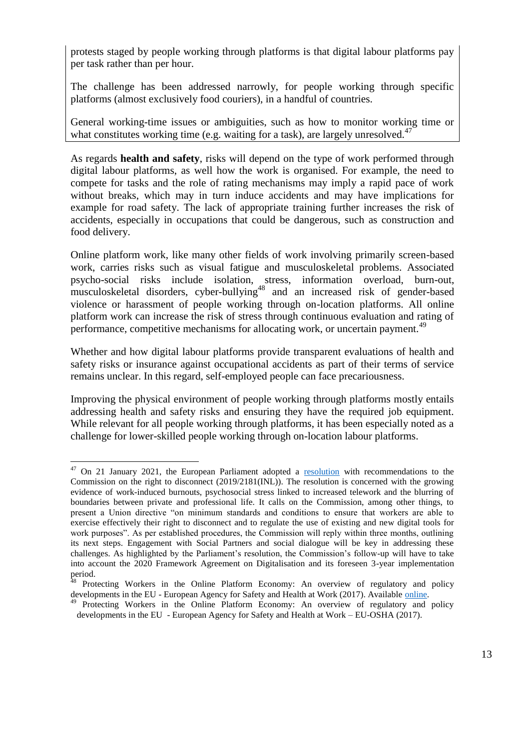protests staged by people working through platforms is that digital labour platforms pay per task rather than per hour.

The challenge has been addressed narrowly, for people working through specific platforms (almost exclusively food couriers), in a handful of countries.

General working-time issues or ambiguities, such as how to monitor working time or what constitutes working time (e.g. waiting for a task), are largely unresolved.<sup>47</sup>

As regards **health and safety**, risks will depend on the type of work performed through digital labour platforms, as well how the work is organised. For example, the need to compete for tasks and the role of rating mechanisms may imply a rapid pace of work without breaks, which may in turn induce accidents and may have implications for example for road safety. The lack of appropriate training further increases the risk of accidents, especially in occupations that could be dangerous, such as construction and food delivery.

Online platform work, like many other fields of work involving primarily screen-based work, carries risks such as visual fatigue and musculoskeletal problems. Associated psycho-social risks include isolation, stress, information overload, burn-out, musculoskeletal disorders, cyber-bullying<sup>48</sup> and an increased risk of gender-based violence or harassment of people working through on-location platforms. All online platform work can increase the risk of stress through continuous evaluation and rating of performance, competitive mechanisms for allocating work, or uncertain payment.<sup>49</sup>

Whether and how digital labour platforms provide transparent evaluations of health and safety risks or insurance against occupational accidents as part of their terms of service remains unclear. In this regard, self-employed people can face precariousness.

Improving the physical environment of people working through platforms mostly entails addressing health and safety risks and ensuring they have the required job equipment. While relevant for all people working through platforms, it has been especially noted as a challenge for lower-skilled people working through on-location labour platforms.

 $47$  On 21 January 2021, the European Parliament adopted a [resolution](https://www.europarl.europa.eu/doceo/document/TA-9-2021-0021_EN.html) with recommendations to the Commission on the right to disconnect (2019/2181(INL)). The resolution is concerned with the growing evidence of work-induced burnouts, psychosocial stress linked to increased telework and the blurring of boundaries between private and professional life. It calls on the Commission, among other things, to present a Union directive "on minimum standards and conditions to ensure that workers are able to exercise effectively their right to disconnect and to regulate the use of existing and new digital tools for work purposes". As per established procedures, the Commission will reply within three months, outlining its next steps. Engagement with Social Partners and social dialogue will be key in addressing these challenges. As highlighted by the Parliament's resolution, the Commission's follow-up will have to take into account the 2020 Framework Agreement on Digitalisation and its foreseen 3-year implementation period.

<sup>&</sup>lt;sup>48</sup> Protecting Workers in the Online Platform Economy: An overview of regulatory and policy developments in the EU - European Agency for Safety and Health at Work (2017). Available [online.](https://osha.europa.eu/en/publications/protecting-workers-online-platform-economy-overview-regulatory-and-policy-developments/view)

<sup>&</sup>lt;sup>49</sup> Protecting Workers in the Online Platform Economy: An overview of regulatory and policy developments in the EU - European Agency for Safety and Health at Work – EU-OSHA (2017).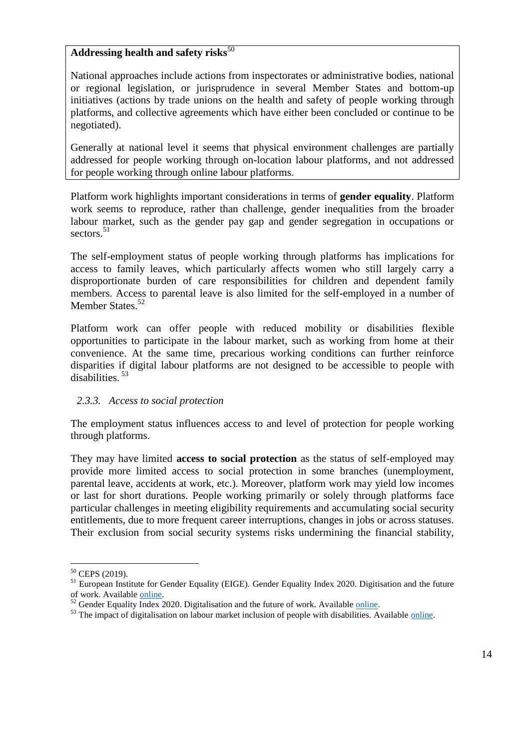#### Addressing health and safety risks<sup>50</sup>

National approaches include actions from inspectorates or administrative bodies, national or regional legislation, or jurisprudence in several Member States and bottom-up initiatives (actions by trade unions on the health and safety of people working through platforms, and collective agreements which have either been concluded or continue to be negotiated).

Generally at national level it seems that physical environment challenges are partially addressed for people working through on-location labour platforms, and not addressed for people working through online labour platforms.

Platform work highlights important considerations in terms of **gender equality**. Platform work seems to reproduce, rather than challenge, gender inequalities from the broader labour market, such as the gender pay gap and gender segregation in occupations or sectors<sup>51</sup>

The self-employment status of people working through platforms has implications for access to family leaves, which particularly affects women who still largely carry a disproportionate burden of care responsibilities for children and dependent family members. Access to parental leave is also limited for the self-employed in a number of Member States.<sup>52</sup>

Platform work can offer people with reduced mobility or disabilities flexible opportunities to participate in the labour market, such as working from home at their convenience. At the same time, precarious working conditions can further reinforce disparities if digital labour platforms are not designed to be accessible to people with disabilities. <sup>53</sup>

### *2.3.3. Access to social protection*

The employment status influences access to and level of protection for people working through platforms.

They may have limited **access to social protection** as the status of self-employed may provide more limited access to social protection in some branches (unemployment, parental leave, accidents at work, etc.). Moreover, platform work may yield low incomes or last for short durations. People working primarily or solely through platforms face particular challenges in meeting eligibility requirements and accumulating social security entitlements, due to more frequent career interruptions, changes in jobs or across statuses. Their exclusion from social security systems risks undermining the financial stability,

<sup>&</sup>lt;sup>50</sup> CEPS (2019).

<sup>&</sup>lt;sup>51</sup> European Institute for Gender Equality (EIGE). Gender Equality Index 2020. Digitisation and the future of work. Available [online.](https://eige.europa.eu/about/projects/gender-equality-index-2020-focus-digitalisation)

 $52$  Gender Equality Index 2020. Digitalisation and the future of work. Availabl[e online.](https://eige.europa.eu/publications/gender-equality-index-2020-digitalisation-and-future-work)

 $53$  The impact of digitalisation on labour market inclusion of people with disabilities. Available [online.](https://www.ceps.eu/the-impact-of-digitalisation-on-labour-market-inclusion-of-people-with-disabilities/)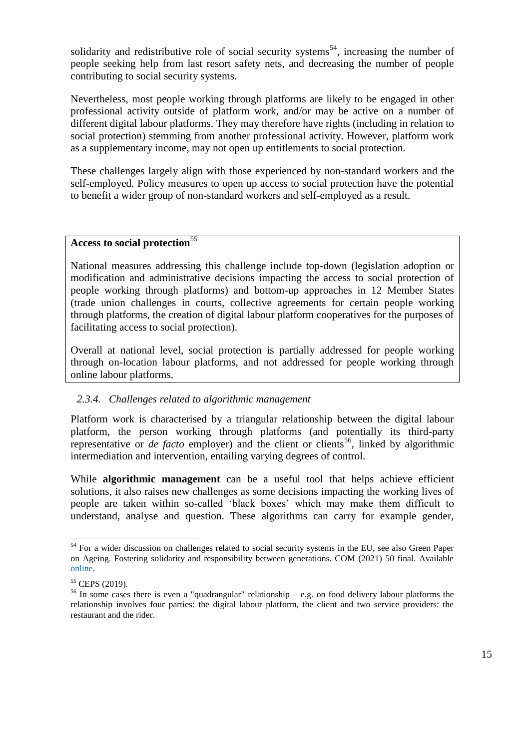solidarity and redistributive role of social security systems<sup>54</sup>, increasing the number of people seeking help from last resort safety nets, and decreasing the number of people contributing to social security systems.

Nevertheless, most people working through platforms are likely to be engaged in other professional activity outside of platform work, and/or may be active on a number of different digital labour platforms. They may therefore have rights (including in relation to social protection) stemming from another professional activity. However, platform work as a supplementary income, may not open up entitlements to social protection.

These challenges largely align with those experienced by non-standard workers and the self-employed. Policy measures to open up access to social protection have the potential to benefit a wider group of non-standard workers and self-employed as a result.

# **Access to social protection**<sup>55</sup>

National measures addressing this challenge include top-down (legislation adoption or modification and administrative decisions impacting the access to social protection of people working through platforms) and bottom-up approaches in 12 Member States (trade union challenges in courts, collective agreements for certain people working through platforms, the creation of digital labour platform cooperatives for the purposes of facilitating access to social protection).

Overall at national level, social protection is partially addressed for people working through on-location labour platforms, and not addressed for people working through online labour platforms.

#### *2.3.4. Challenges related to algorithmic management*

Platform work is characterised by a triangular relationship between the digital labour platform, the person working through platforms (and potentially its third-party representative or  $de$  *facto* employer) and the client or clients<sup>56</sup>, linked by algorithmic intermediation and intervention, entailing varying degrees of control.

While **algorithmic management** can be a useful tool that helps achieve efficient solutions, it also raises new challenges as some decisions impacting the working lives of people are taken within so-called 'black boxes' which may make them difficult to understand, analyse and question. These algorithms can carry for example gender,

 $54$  For a wider discussion on challenges related to social security systems in the EU, see also Green Paper on Ageing. Fostering solidarity and responsibility between generations. COM (2021) 50 final. Available [online.](https://ec.europa.eu/info/files/green-paper-ageing-fostering-solidarity-and-responsibility-between-generations_en)

 $55$  CEPS (2019).

<sup>56</sup> In some cases there is even a "quadrangular" relationship – e.g. on food delivery labour platforms the relationship involves four parties: the digital labour platform, the client and two service providers: the restaurant and the rider.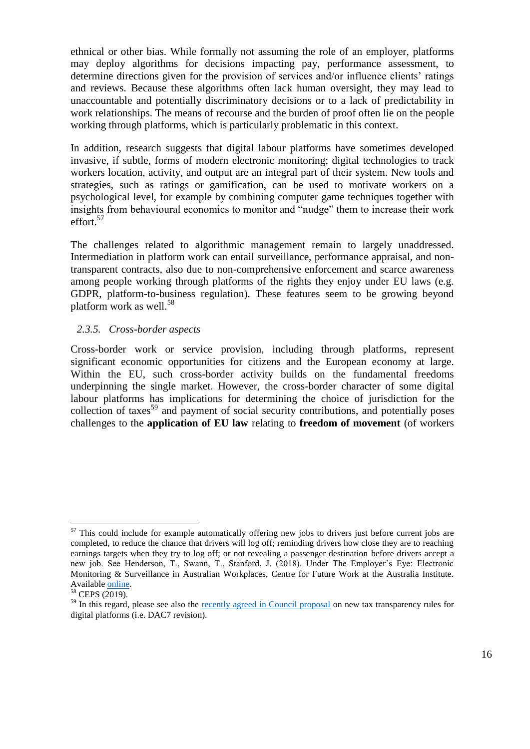ethnical or other bias. While formally not assuming the role of an employer, platforms may deploy algorithms for decisions impacting pay, performance assessment, to determine directions given for the provision of services and/or influence clients' ratings and reviews. Because these algorithms often lack human oversight, they may lead to unaccountable and potentially discriminatory decisions or to a lack of predictability in work relationships. The means of recourse and the burden of proof often lie on the people working through platforms, which is particularly problematic in this context.

In addition, research suggests that digital labour platforms have sometimes developed invasive, if subtle, forms of modern electronic monitoring; digital technologies to track workers location, activity, and output are an integral part of their system. New tools and strategies, such as ratings or gamification, can be used to motivate workers on a psychological level, for example by combining computer game techniques together with insights from behavioural economics to monitor and "nudge" them to increase their work effort.<sup>57</sup>

The challenges related to algorithmic management remain to largely unaddressed. Intermediation in platform work can entail surveillance, performance appraisal, and nontransparent contracts, also due to non-comprehensive enforcement and scarce awareness among people working through platforms of the rights they enjoy under EU laws (e.g. GDPR, platform-to-business regulation). These features seem to be growing beyond platform work as well.<sup>58</sup>

#### *2.3.5. Cross-border aspects*

Cross-border work or service provision, including through platforms, represent significant economic opportunities for citizens and the European economy at large. Within the EU, such cross-border activity builds on the fundamental freedoms underpinning the single market. However, the cross-border character of some digital labour platforms has implications for determining the choice of jurisdiction for the collection of taxes<sup>59</sup> and payment of social security contributions, and potentially poses challenges to the **application of EU law** relating to **freedom of movement** (of workers

<sup>&</sup>lt;sup>57</sup> This could include for example automatically offering new jobs to drivers just before current jobs are completed, to reduce the chance that drivers will log off; reminding drivers how close they are to reaching earnings targets when they try to log off; or not revealing a passenger destination before drivers accept a new job. See Henderson, T., Swann, T., Stanford, J. (2018). Under The Employer's Eye: Electronic Monitoring & Surveillance in Australian Workplaces, Centre for Future Work at the Australia Institute. Availabl[e online.](https://australiainstitute.org.au/report/under-the-employers-eye-electronic-monitoring-surveillance-in-australian-workplaces/)

<sup>58</sup> CEPS (2019).

<sup>&</sup>lt;sup>59</sup> In this regard, please see also the [recently agreed in Council proposal](https://ec.europa.eu/commission/presscorner/detail/en/ip_20_2253) on new tax transparency rules for digital platforms (i.e. DAC7 revision).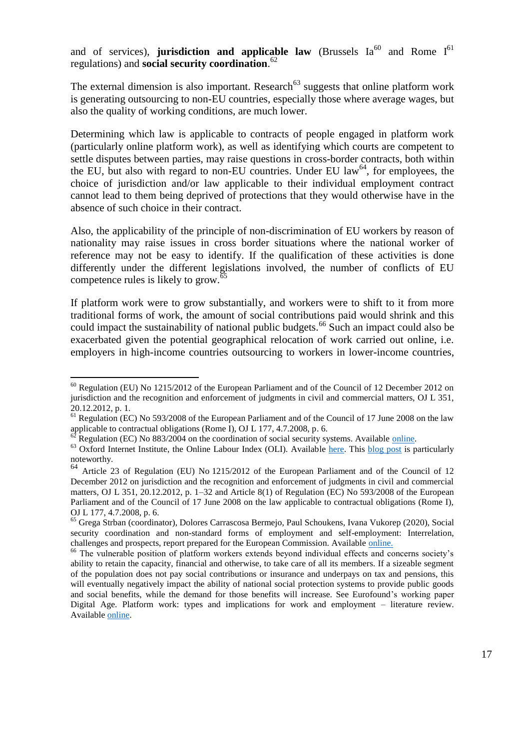and of services), **jurisdiction and applicable law** (Brussels Ia<sup>60</sup> and Rome I<sup>61</sup> regulations) and **social security coordination**. 62

The external dimension is also important. Research<sup> $63$ </sup> suggests that online platform work is generating outsourcing to non-EU countries, especially those where average wages, but also the quality of working conditions, are much lower.

Determining which law is applicable to contracts of people engaged in platform work (particularly online platform work), as well as identifying which courts are competent to settle disputes between parties, may raise questions in cross-border contracts, both within the EU, but also with regard to non-EU countries. Under EU law $^{64}$ , for employees, the choice of jurisdiction and/or law applicable to their individual employment contract cannot lead to them being deprived of protections that they would otherwise have in the absence of such choice in their contract.

Also, the applicability of the principle of non-discrimination of EU workers by reason of nationality may raise issues in cross border situations where the national worker of reference may not be easy to identify. If the qualification of these activities is done differently under the different legislations involved, the number of conflicts of EU competence rules is likely to grow. $65$ 

If platform work were to grow substantially, and workers were to shift to it from more traditional forms of work, the amount of social contributions paid would shrink and this could impact the sustainability of national public budgets.<sup>66</sup> Such an impact could also be exacerbated given the potential geographical relocation of work carried out online, i.e. employers in high-income countries outsourcing to workers in lower-income countries,

 $^{60}$  Regulation (EU) No 1215/2012 of the European Parliament and of the Council of 12 December 2012 on jurisdiction and the recognition and enforcement of judgments in civil and commercial matters, OJ L 351, 20.12.2012, p. 1.

 $<sup>61</sup>$  Regulation (EC) No 593/2008 of the European Parliament and of the Council of 17 June 2008 on the law</sup> applicable to contractual obligations (Rome I), OJ L 177, 4.7.2008, p. 6.

Regulation (EC) No 883/2004 on the coordination of social security systems. Available [online.](https://eur-lex.europa.eu/legal-content/EN/TXT/?uri=CELEX%3A32004R0883)

 $63$  Oxford Internet Institute, the Online Labour Index (OLI). Available [here.](http://ilabour.oii.ox.ac.uk/online-labour-index/) This [blog post](https://www.oii.ox.ac.uk/blog/where-are-online-workers-located-the-international-division-of-digital-gig-work/) is particularly noteworthy.

 $64$  Article 23 of Regulation (EU) No 1215/2012 of the European Parliament and of the Council of 12 December 2012 on jurisdiction and the recognition and enforcement of judgments in civil and commercial matters, OJ L 351, 20.12.2012, p.  $1-32$  and Article  $8(1)$  of Regulation (EC) No 593/2008 of the European Parliament and of the Council of 17 June 2008 on the law applicable to contractual obligations (Rome I), OJ L 177, 4.7.2008, p. 6.

<sup>65</sup> Grega Strban (coordinator), Dolores Carrascosa Bermejo, Paul Schoukens, Ivana Vukorep (2020), Social security coordination and non-standard forms of employment and self-employment: Interrelation, challenges and prospects, report prepared for the European Commission. Available [online.](https://ec.europa.eu/social/BlobServlet?docId=22854&langId=en)

<sup>&</sup>lt;sup>66</sup> The vulnerable position of platform workers extends beyond individual effects and concerns society's ability to retain the capacity, financial and otherwise, to take care of all its members. If a sizeable segment of the population does not pay social contributions or insurance and underpays on tax and pensions, this will eventually negatively impact the ability of national social protection systems to provide public goods and social benefits, while the demand for those benefits will increase. See Eurofound's working paper Digital Age. Platform work: types and implications for work and employment – literature review. Availabl[e online.](https://www.eurofound.europa.eu/data/platform-economy/records/platform-work-types-and-implications-for-work-and-employment-literature-review)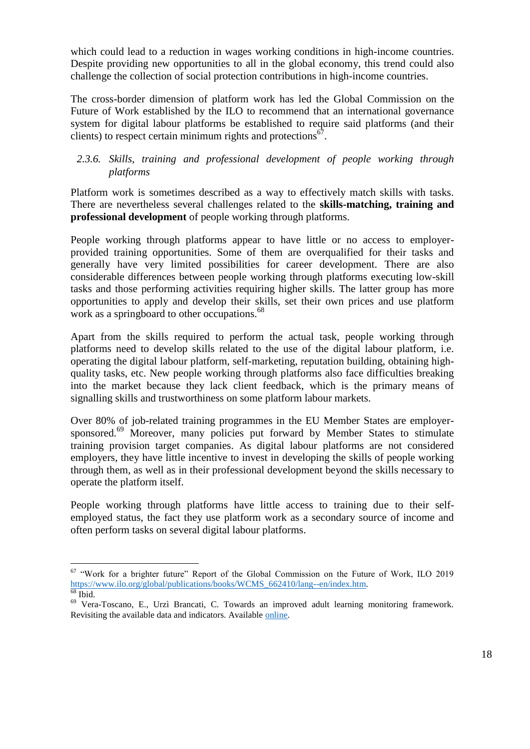which could lead to a reduction in wages working conditions in high-income countries. Despite providing new opportunities to all in the global economy, this trend could also challenge the collection of social protection contributions in high-income countries.

The cross-border dimension of platform work has led the Global Commission on the Future of Work established by the ILO to recommend that an international governance system for digital labour platforms be established to require said platforms (and their clients) to respect certain minimum rights and protections $67$ .

### *2.3.6. Skills, training and professional development of people working through platforms*

Platform work is sometimes described as a way to effectively match skills with tasks. There are nevertheless several challenges related to the **skills-matching, training and professional development** of people working through platforms.

People working through platforms appear to have little or no access to employerprovided training opportunities. Some of them are overqualified for their tasks and generally have very limited possibilities for career development. There are also considerable differences between people working through platforms executing low-skill tasks and those performing activities requiring higher skills. The latter group has more opportunities to apply and develop their skills, set their own prices and use platform work as a springboard to other occupations.<sup>68</sup>

Apart from the skills required to perform the actual task, people working through platforms need to develop skills related to the use of the digital labour platform, i.e. operating the digital labour platform, self-marketing, reputation building, obtaining highquality tasks, etc. New people working through platforms also face difficulties breaking into the market because they lack client feedback, which is the primary means of signalling skills and trustworthiness on some platform labour markets.

Over 80% of job-related training programmes in the EU Member States are employersponsored.<sup>69</sup> Moreover, many policies put forward by Member States to stimulate training provision target companies. As digital labour platforms are not considered employers, they have little incentive to invest in developing the skills of people working through them, as well as in their professional development beyond the skills necessary to operate the platform itself.

People working through platforms have little access to training due to their selfemployed status, the fact they use platform work as a secondary source of income and often perform tasks on several digital labour platforms.

<sup>&</sup>lt;sup>67</sup> "Work for a brighter future" Report of the Global Commission on the Future of Work, ILO 2019 [https://www.ilo.org/global/publications/books/WCMS\\_662410/lang--en/index.htm.](https://www.ilo.org/global/publications/books/WCMS_662410/lang--en/index.htm)   $68$  Ibid.

<sup>69</sup> Vera-Toscano, E., Urzì Brancati, C. Towards an improved adult learning monitoring framework. Revisiting the available data and indicators. Available [online.](https://ec.europa.eu/jrc/en/publication/towards-improved-adult-learning-monitoring-framework-revisiting-available-data-and-indicators)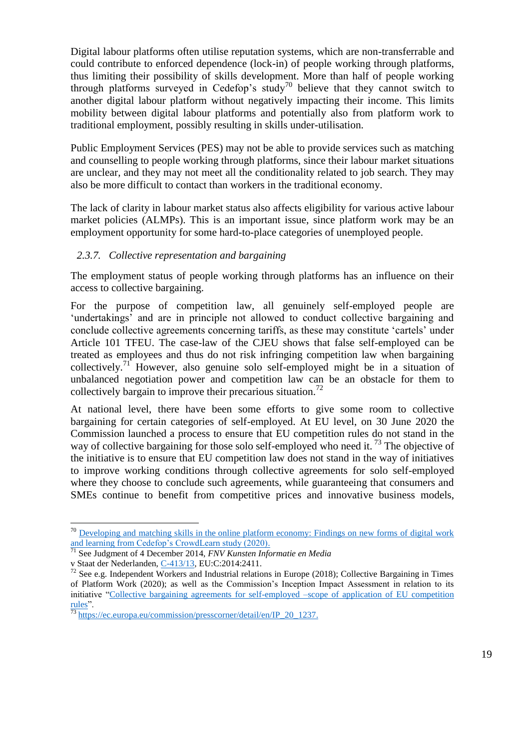Digital labour platforms often utilise reputation systems, which are non-transferrable and could contribute to enforced dependence (lock-in) of people working through platforms, thus limiting their possibility of skills development. More than half of people working through platforms surveyed in Cedefop's study<sup>70</sup> believe that they cannot switch to another digital labour platform without negatively impacting their income. This limits mobility between digital labour platforms and potentially also from platform work to traditional employment, possibly resulting in skills under-utilisation.

Public Employment Services (PES) may not be able to provide services such as matching and counselling to people working through platforms, since their labour market situations are unclear, and they may not meet all the conditionality related to job search. They may also be more difficult to contact than workers in the traditional economy.

The lack of clarity in labour market status also affects eligibility for various active labour market policies (ALMPs). This is an important issue, since platform work may be an employment opportunity for some hard-to-place categories of unemployed people.

#### *2.3.7. Collective representation and bargaining*

The employment status of people working through platforms has an influence on their access to collective bargaining.

For the purpose of competition law, all genuinely self-employed people are 'undertakings' and are in principle not allowed to conduct collective bargaining and conclude collective agreements concerning tariffs, as these may constitute 'cartels' under Article 101 TFEU. The case-law of the CJEU shows that false self-employed can be treated as employees and thus do not risk infringing competition law when bargaining collectively.<sup>71</sup> However, also genuine solo self-employed might be in a situation of unbalanced negotiation power and competition law can be an obstacle for them to collectively bargain to improve their precarious situation.<sup>72</sup>

At national level, there have been some efforts to give some room to collective bargaining for certain categories of self-employed. At EU level, on 30 June 2020 the Commission launched a process to ensure that EU competition rules do not stand in the way of collective bargaining for those solo self-employed who need it.<sup>73</sup> The objective of the initiative is to ensure that EU competition law does not stand in the way of initiatives to improve working conditions through collective agreements for solo self-employed where they choose to conclude such agreements, while guaranteeing that consumers and SMEs continue to benefit from competitive prices and innovative business models,

 $70$  Developing and matching skills in the online platform economy: Findings on new forms of digital work and learning from [Cedefop's CrowdLearn study \(2020\).](https://www.cedefop.europa.eu/files/3085_en.pdf)

<sup>71</sup> See Judgment of 4 December 2014, *FNV Kunsten Informatie en Media*

v Staat der Nederlanden, [C-413/13](http://curia.europa.eu/juris/document/document.jsf?text=&docid=160305&pageIndex=0&doclang=EN&mode=lst&dir=&occ=first&part=1&cid=11535690)*,* EU:C:2014:2411.

 $72$  See e.g. Independent Workers and Industrial relations in Europe (2018); Collective Bargaining in Times of Platform Work (2020); as well as the Commission's Inception Impact Assessment in relation to its initiative ["Collective bargaining agreements for self-employed –scope of application of EU competition](https://ec.europa.eu/info/law/better-regulation/have-your-say/initiatives/12483-Collective-bargaining-agreements-for-self-employed-scope-of-application-EU-competition-rules)   $\frac{\text{rules}}{73}$ .

[https://ec.europa.eu/commission/presscorner/detail/en/IP\\_20\\_1237.](https://ec.europa.eu/commission/presscorner/detail/en/IP_20_1237)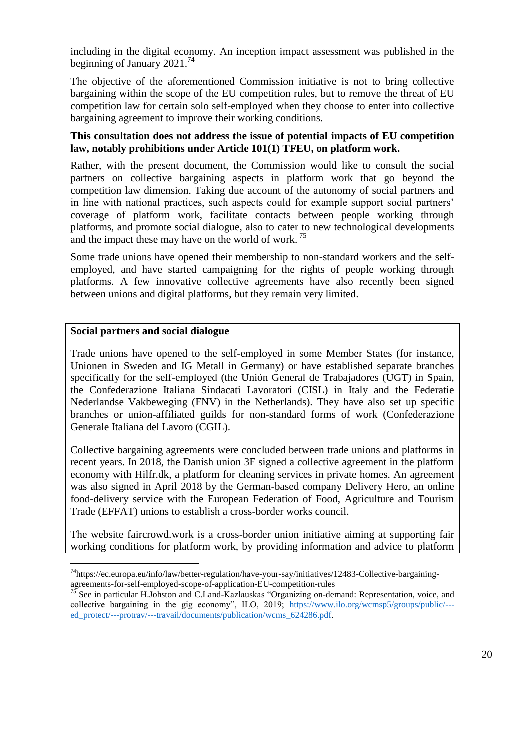including in the digital economy. An inception impact assessment was published in the beginning of January 2021.<sup>74</sup>

The objective of the aforementioned Commission initiative is not to bring collective bargaining within the scope of the EU competition rules, but to remove the threat of EU competition law for certain solo self-employed when they choose to enter into collective bargaining agreement to improve their working conditions.

#### **This consultation does not address the issue of potential impacts of EU competition law, notably prohibitions under Article 101(1) TFEU, on platform work.**

Rather, with the present document, the Commission would like to consult the social partners on collective bargaining aspects in platform work that go beyond the competition law dimension. Taking due account of the autonomy of social partners and in line with national practices, such aspects could for example support social partners' coverage of platform work, facilitate contacts between people working through platforms, and promote social dialogue, also to cater to new technological developments and the impact these may have on the world of work.<sup>75</sup>

Some trade unions have opened their membership to non-standard workers and the selfemployed, and have started campaigning for the rights of people working through platforms. A few innovative collective agreements have also recently been signed between unions and digital platforms, but they remain very limited.

#### **Social partners and social dialogue**

 $\overline{a}$ 

Trade unions have opened to the self-employed in some Member States (for instance, Unionen in Sweden and IG Metall in Germany) or have established separate branches specifically for the self-employed (the Unión General de Trabajadores (UGT) in Spain, the Confederazione Italiana Sindacati Lavoratori (CISL) in Italy and the Federatie Nederlandse Vakbeweging (FNV) in the Netherlands). They have also set up specific branches or union-affiliated guilds for non-standard forms of work (Confederazione Generale Italiana del Lavoro (CGIL).

Collective bargaining agreements were concluded between trade unions and platforms in recent years. In 2018, the Danish union 3F signed a collective agreement in the platform economy with Hilfr.dk, a platform for cleaning services in private homes. An agreement was also signed in April 2018 by the German-based company Delivery Hero, an online food-delivery service with the European Federation of Food, Agriculture and Tourism Trade (EFFAT) unions to establish a cross-border works council.

The website faircrowd.work is a cross-border union initiative aiming at supporting fair working conditions for platform work, by providing information and advice to platform

<sup>74</sup>https://ec.europa.eu/info/law/better-regulation/have-your-say/initiatives/12483-Collective-bargainingagreements-for-self-employed-scope-of-application-EU-competition-rules<br>
<sup>75</sup> See in particular II Islamical and C<sub>N</sub>

<sup>75</sup> See in particular H.Johston and C.Land-Kazlauskas "Organizing on-demand: Representation, voice, and collective bargaining in the gig economy", ILO, 2019; [https://www.ilo.org/wcmsp5/groups/public/--](https://www.ilo.org/wcmsp5/groups/public/---ed_protect/---protrav/---travail/documents/publication/wcms_624286.pdf) ed\_protect/---protrav/---travail/documents/publication/wcms\_624286.pdf.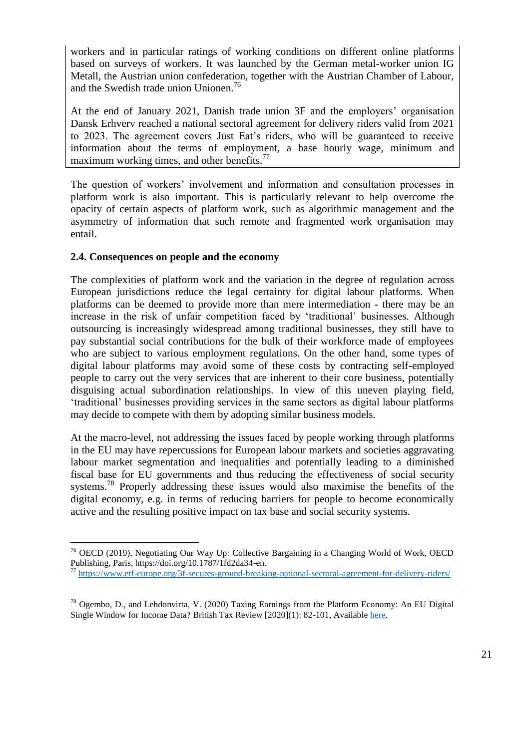workers and in particular ratings of working conditions on different online platforms based on surveys of workers. It was launched by the German metal-worker union IG Metall, the Austrian union confederation, together with the Austrian Chamber of Labour, and the Swedish trade union Unionen.<sup>76</sup>

At the end of January 2021, Danish trade union 3F and the employers' organisation Dansk Erhverv reached a national sectoral agreement for delivery riders valid from 2021 to 2023. The agreement covers Just Eat's riders, who will be guaranteed to receive information about the terms of employment, a base hourly wage, minimum and maximum working times, and other benefits. $^{77}$ 

The question of workers' involvement and information and consultation processes in platform work is also important. This is particularly relevant to help overcome the opacity of certain aspects of platform work, such as algorithmic management and the asymmetry of information that such remote and fragmented work organisation may entail.

#### **2.4. Consequences on people and the economy**

 $\overline{a}$ 

The complexities of platform work and the variation in the degree of regulation across European jurisdictions reduce the legal certainty for digital labour platforms. When platforms can be deemed to provide more than mere intermediation - there may be an increase in the risk of unfair competition faced by 'traditional' businesses. Although outsourcing is increasingly widespread among traditional businesses, they still have to pay substantial social contributions for the bulk of their workforce made of employees who are subject to various employment regulations. On the other hand, some types of digital labour platforms may avoid some of these costs by contracting self-employed people to carry out the very services that are inherent to their core business, potentially disguising actual subordination relationships. In view of this uneven playing field, 'traditional' businesses providing services in the same sectors as digital labour platforms may decide to compete with them by adopting similar business models.

At the macro-level, not addressing the issues faced by people working through platforms in the EU may have repercussions for European labour markets and societies aggravating labour market segmentation and inequalities and potentially leading to a diminished fiscal base for EU governments and thus reducing the effectiveness of social security systems.<sup>78</sup> Properly addressing these issues would also maximise the benefits of the digital economy, e.g. in terms of reducing barriers for people to become economically active and the resulting positive impact on tax base and social security systems.

<sup>&</sup>lt;sup>76</sup> OECD (2019), Negotiating Our Way Up: Collective Bargaining in a Changing World of Work, OECD Publishing, Paris, https://doi.org/10.1787/1fd2da34-en.

<sup>77</sup> <https://www.etf-europe.org/3f-secures-ground-breaking-national-sectoral-agreement-for-delivery-riders/>

 $^{78}$  Ogembo, D., and Lehdonvirta, V. (2020) Taxing Earnings from the Platform Economy: An EU Digital Single Window for Income Data? British Tax Review [2020](1): 82-101, Available [here.](https://papers.ssrn.com/sol3/papers.cfm?abstract_id=3576426)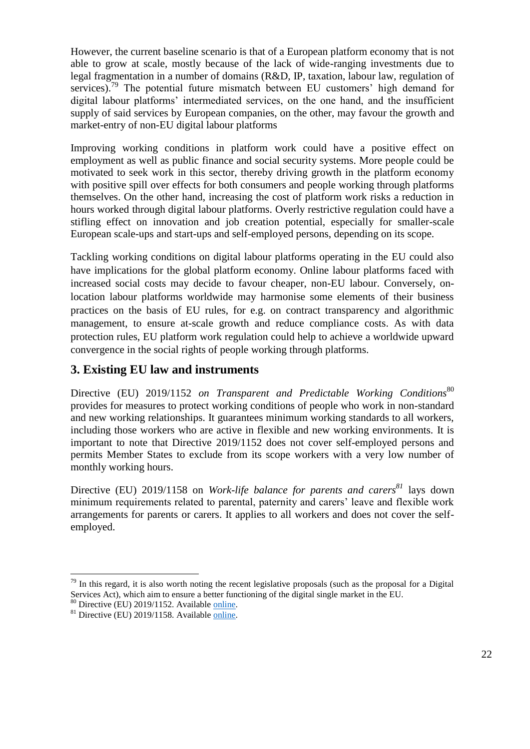However, the current baseline scenario is that of a European platform economy that is not able to grow at scale, mostly because of the lack of wide-ranging investments due to legal fragmentation in a number of domains (R&D, IP, taxation, labour law, regulation of services).<sup>79</sup> The potential future mismatch between EU customers' high demand for digital labour platforms' intermediated services, on the one hand, and the insufficient supply of said services by European companies, on the other, may favour the growth and market-entry of non-EU digital labour platforms

Improving working conditions in platform work could have a positive effect on employment as well as public finance and social security systems. More people could be motivated to seek work in this sector, thereby driving growth in the platform economy with positive spill over effects for both consumers and people working through platforms themselves. On the other hand, increasing the cost of platform work risks a reduction in hours worked through digital labour platforms. Overly restrictive regulation could have a stifling effect on innovation and job creation potential, especially for smaller-scale European scale-ups and start-ups and self-employed persons, depending on its scope.

Tackling working conditions on digital labour platforms operating in the EU could also have implications for the global platform economy. Online labour platforms faced with increased social costs may decide to favour cheaper, non-EU labour. Conversely, onlocation labour platforms worldwide may harmonise some elements of their business practices on the basis of EU rules, for e.g. on contract transparency and algorithmic management, to ensure at-scale growth and reduce compliance costs. As with data protection rules, EU platform work regulation could help to achieve a worldwide upward convergence in the social rights of people working through platforms.

# **3. Existing EU law and instruments**

Directive (EU) 2019/1152 *on Transparent and Predictable Working Conditions*<sup>80</sup> provides for measures to protect working conditions of people who work in non-standard and new working relationships. It guarantees minimum working standards to all workers, including those workers who are active in flexible and new working environments. It is important to note that Directive 2019/1152 does not cover self-employed persons and permits Member States to exclude from its scope workers with a very low number of monthly working hours.

Directive (EU) 2019/1158 on *Work-life balance for parents and carers<sup>81</sup>* lays down minimum requirements related to parental, paternity and carers' leave and flexible work arrangements for parents or carers. It applies to all workers and does not cover the selfemployed.

 $79$  In this regard, it is also worth noting the recent legislative proposals (such as the proposal for a Digital Services Act), which aim to ensure a better functioning of the digital single market in the EU.

<sup>&</sup>lt;sup>80</sup> Directive (EU) 2019/1152. Available [online.](https://eur-lex.europa.eu/legal-content/EN/TXT/?uri=CELEX:32019L1152)

 $81$  Directive (EU) 2019/1158. Availabl[e online.](https://eur-lex.europa.eu/legal-content/EN/TXT/?uri=CELEX%3A32019L1158)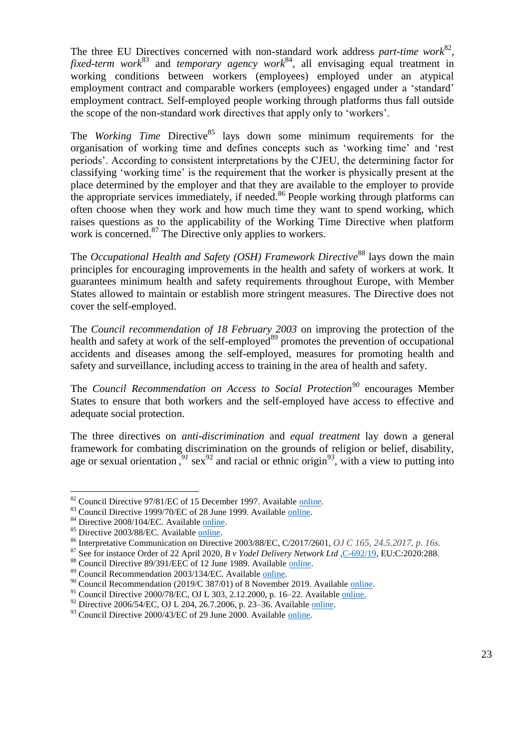The three EU Directives concerned with non-standard work address *part-time work*<sup>82</sup>, *fixed-term work*<sup>83</sup> and *temporary agency work*<sup>84</sup>, all envisaging equal treatment in working conditions between workers (employees) employed under an atypical employment contract and comparable workers (employees) engaged under a 'standard' employment contract. Self-employed people working through platforms thus fall outside the scope of the non-standard work directives that apply only to 'workers'.

The *Working Time* Directive<sup>85</sup> lays down some minimum requirements for the organisation of working time and defines concepts such as 'working time' and 'rest periods'. According to consistent interpretations by the CJEU, the determining factor for classifying 'working time' is the requirement that the worker is physically present at the place determined by the employer and that they are available to the employer to provide the appropriate services immediately, if needed.<sup>86</sup> People working through platforms can often choose when they work and how much time they want to spend working, which raises questions as to the applicability of the Working Time Directive when platform work is concerned.<sup>87</sup> The Directive only applies to workers.

The *Occupational Health and Safety (OSH) Framework Directive*<sup>88</sup> lays down the main principles for encouraging improvements in the health and safety of workers at work. It guarantees minimum health and safety requirements throughout Europe, with Member States allowed to maintain or establish more stringent measures. The Directive does not cover the self-employed.

The *Council recommendation of 18 February 2003* on improving the protection of the health and safety at work of the self-employed<sup>89</sup> promotes the prevention of occupational accidents and diseases among the self-employed, measures for promoting health and safety and surveillance, including access to training in the area of health and safety.

The *Council Recommendation on Access to Social Protection<sup>90</sup>* encourages Member States to ensure that both workers and the self-employed have access to effective and adequate social protection.

The three directives on *anti-discrimination* and *equal treatment* lay down a general framework for combating discrimination on the grounds of religion or belief, disability, age or sexual orientation,  $91$  sex<sup>92</sup> and racial or ethnic origin<sup>93</sup>, with a view to putting into

<sup>&</sup>lt;sup>82</sup> Council Directive 97/81/EC of 15 December 1997. Available [online.](https://eur-lex.europa.eu/legal-content/EN/TXT/?uri=celex%3A31997L0081)

<sup>&</sup>lt;sup>83</sup> Council Directive 1999/70/EC of 28 June 1999. Available [online.](https://eur-lex.europa.eu/legal-content/EN/TXT/?uri=celex%3A31997L0081)

<sup>&</sup>lt;sup>84</sup> Directive 2008/104/EC. Available [online.](https://eur-lex.europa.eu/legal-content/EN/ALL/?uri=CELEX%3A32008L0104)

<sup>&</sup>lt;sup>85</sup> Directive 2003/88/EC. Available [online.](https://eur-lex.europa.eu/legal-content/EN/ALL/?uri=CELEX:32003L0088)

<sup>86</sup> Interpretative Communication on Directive 2003/88/EC, C/2017/2601, *OJ C 165, 24.5.2017, p. 16s.*

<sup>&</sup>lt;sup>87</sup> See for instance Order of 22 April 2020, *B v Yodel Delivery Network Ltd*, C-692/19, EU:C:2020:288.

<sup>88</sup> Council Directive 89/391/EEC of 12 June 1989. Available [online.](https://eur-lex.europa.eu/legal-content/EN/ALL/?uri=CELEX%3A31989L0391)

<sup>89</sup> Council Recommendation 2003/134/EC. Available [online.](https://eur-lex.europa.eu/legal-content/CS/TXT/?uri=CELEX:32003H0134)

 $^{90}$  Council Recommendation (2019/C 387/01) of 8 November 2019. Available [online.](https://eur-lex.europa.eu/legal-content/EN/TXT/?uri=uriserv:OJ.C_.2019.387.01.0001.01.ENG&toc=OJ:C:2019:387:TOC)

<sup>&</sup>lt;sup>91</sup> Council Directive 2000/78/EC, OJ L 303, 2.12.2000, p. 16–22. Available [online.](https://eur-lex.europa.eu/legal-content/EN/TXT/?uri=celex%3A32000L0078)

 $92$  Directive 2006/54/EC, OJ L 204, 26.7.2006, p. 23–36. Available [online.](https://eur-lex.europa.eu/legal-content/EN/TXT/?uri=celex%3A32006L0054)

 $93$  Council Directive 2000/43/EC of 29 June 2000. Available [online.](https://eur-lex.europa.eu/legal-content/EN/TXT/?uri=CELEX%3A32000L0043)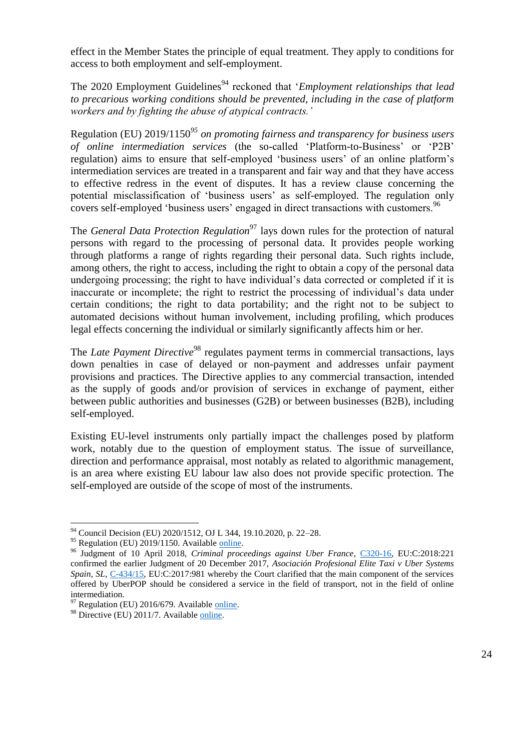effect in the Member States the principle of equal treatment. They apply to conditions for access to both employment and self-employment.

The 2020 Employment Guidelines<sup>94</sup> reckoned that *'Employment relationships that lead to precarious working conditions should be prevented, including in the case of platform workers and by fighting the abuse of atypical contracts.'*

Regulation (EU) 2019/1150*<sup>95</sup> on promoting fairness and transparency for business users of online intermediation services* (the so-called 'Platform-to-Business' or 'P2B' regulation) aims to ensure that self-employed 'business users' of an online platform's intermediation services are treated in a transparent and fair way and that they have access to effective redress in the event of disputes. It has a review clause concerning the potential misclassification of 'business users' as self-employed. The regulation only covers self-employed 'business users' engaged in direct transactions with customers.<sup>96</sup>

The *General Data Protection Regulation*<sup>97</sup> lays down rules for the protection of natural persons with regard to the processing of personal data. It provides people working through platforms a range of rights regarding their personal data. Such rights include, among others, the right to access, including the right to obtain a copy of the personal data undergoing processing; the right to have individual's data corrected or completed if it is inaccurate or incomplete; the right to restrict the processing of individual's data under certain conditions; the right to data portability; and the right not to be subject to automated decisions without human involvement, including profiling, which produces legal effects concerning the individual or similarly significantly affects him or her.

The *Late Payment Directive*<sup>98</sup> regulates payment terms in commercial transactions, lays down penalties in case of delayed or non-payment and addresses unfair payment provisions and practices. The Directive applies to any commercial transaction, intended as the supply of goods and/or provision of services in exchange of payment, either between public authorities and businesses (G2B) or between businesses (B2B), including self-employed.

Existing EU-level instruments only partially impact the challenges posed by platform work, notably due to the question of employment status. The issue of surveillance, direction and performance appraisal, most notably as related to algorithmic management, is an area where existing EU labour law also does not provide specific protection. The self-employed are outside of the scope of most of the instruments.

<sup>&</sup>lt;sup>94</sup> Council Decision (EU) 2020/1512, OJ L 344, 19.10.2020, p. 22–28.

 $95$  Regulation (EU) 2019/1150. Available [online.](https://eur-lex.europa.eu/legal-content/EN/TXT/?uri=CELEX%3A32019R1150)

<sup>96</sup> Judgment of 10 April 2018, *Criminal proceedings against Uber France*, [C320-16,](http://curia.europa.eu/juris/document/document.jsf?text=&docid=200882&pageIndex=0&doclang=en&mode=lst&dir=&occ=first&part=1&cid=550059) EU:C:2018:221 confirmed the earlier Judgment of 20 December 2017, *Asociación Profesional Elite Taxi v Uber Systems Spain, SL*, [C-434/15,](http://curia.europa.eu/juris/document/document.jsf?text=&docid=198047&pageIndex=0&doclang=en&mode=lst&dir=&occ=first&part=1&cid=550498) EU:C:2017:981 whereby the Court clarified that the main component of the services offered by UberPOP should be considered a service in the field of transport, not in the field of online intermediation.

 $97$  Regulation (EU) 2016/679. Available [online.](https://eur-lex.europa.eu/eli/reg/2016/679/oj)

<sup>&</sup>lt;sup>98</sup> Directive (EU) 2011/7. Availabl[e online.](https://eur-lex.europa.eu/legal-content/EN/TXT/?uri=celex%3A32011L0007)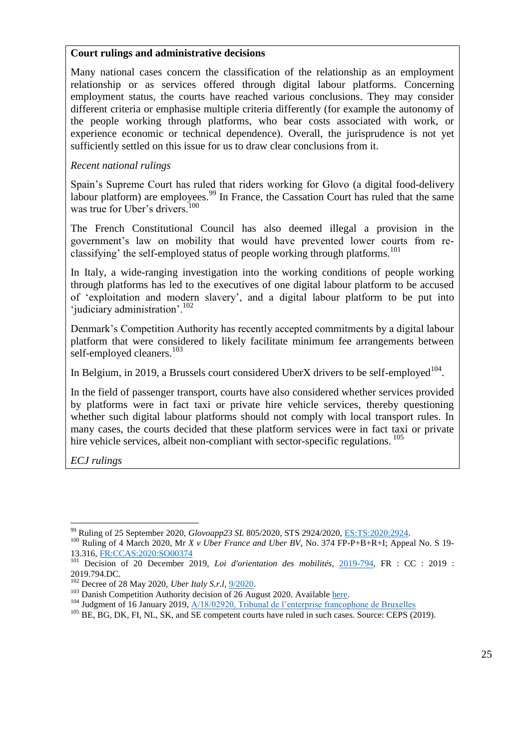#### **Court rulings and administrative decisions**

Many national cases concern the classification of the relationship as an employment relationship or as services offered through digital labour platforms. Concerning employment status, the courts have reached various conclusions. They may consider different criteria or emphasise multiple criteria differently (for example the autonomy of the people working through platforms, who bear costs associated with work, or experience economic or technical dependence). Overall, the jurisprudence is not yet sufficiently settled on this issue for us to draw clear conclusions from it.

### *Recent national rulings*

Spain's Supreme Court has ruled that riders working for Glovo (a digital food-delivery labour platform) are employees.<sup>99</sup> In France, the Cassation Court has ruled that the same was true for Uber's drivers.<sup>100</sup>

The French Constitutional Council has also deemed illegal a provision in the government's law on mobility that would have prevented lower courts from reclassifying' the self-employed status of people working through platforms.<sup>101</sup>

In Italy, a wide-ranging investigation into the working conditions of people working through platforms has led to the executives of one digital labour platform to be accused of 'exploitation and modern slavery', and a digital labour platform to be put into 'judiciary administration'.<sup>102</sup>

Denmark's Competition Authority has recently accepted commitments by a digital labour platform that were considered to likely facilitate minimum fee arrangements between self-employed cleaners.<sup>103</sup>

In Belgium, in 2019, a Brussels court considered UberX drivers to be self-employed<sup>104</sup>.

In the field of passenger transport, courts have also considered whether services provided by platforms were in fact taxi or private hire vehicle services, thereby questioning whether such digital labour platforms should not comply with local transport rules. In many cases, the courts decided that these platform services were in fact taxi or private hire vehicle services, albeit non-compliant with sector-specific regulations. <sup>105</sup>

*ECJ rulings*

<sup>99</sup> Ruling of 25 September 2020, *Glovoapp23 SL* 805/2020, STS 2924/2020, [ES:TS:2020:2924.](http://www.poderjudicial.es/search/openDocument/05986cd385feff03)

<sup>&</sup>lt;sup>100</sup> Ruling of 4 March 2020, Mr *X v Uber France and Uber BV*, No. 374 FP-P+B+R+I; Appeal No. S 19-13.316, [FR:CCAS:2020:SO00374](https://www.courdecassation.fr/jurisprudence_2/chambre_sociale_576/374_4_44522.html)

<sup>101</sup> Decision of 20 December 2019, *Loi d'orientation des mobilités*, [2019-794,](https://www.conseil-constitutionnel.fr/decision/2019/2019794DC.htm) FR : CC : 2019 : 2019.794.DC.

<sup>102</sup> Decree of 28 May 2020, *Uber Italy S.r.l*, [9/2020.](https://www.giurisprudenzapenale.com/2020/07/07/lamministrazione-giudiziaria-di-uber-un-possibile-cortocircuito-tra-il-sistema-giuslavoristico-e-le-misure-di-prevenzione/)

<sup>&</sup>lt;sup>103</sup> Danish Competition Authority decision of 26 August 2020. Available [here.](https://www.en.kfst.dk/nyheder/kfst/english/decisions/20200826-commitment-decision-on-the-use-of-a-minimum-hourly-fee-hilfr/)

<sup>&</sup>lt;sup>104</sup> Judgment of 16 January 2019, <u>A/18/02920, Tribunal de l'enterprise francophone de Bruxelles</u>

<sup>&</sup>lt;sup>105</sup> BE, BG, DK, FI, NL, SK, and SE competent courts have ruled in such cases. Source: CEPS (2019).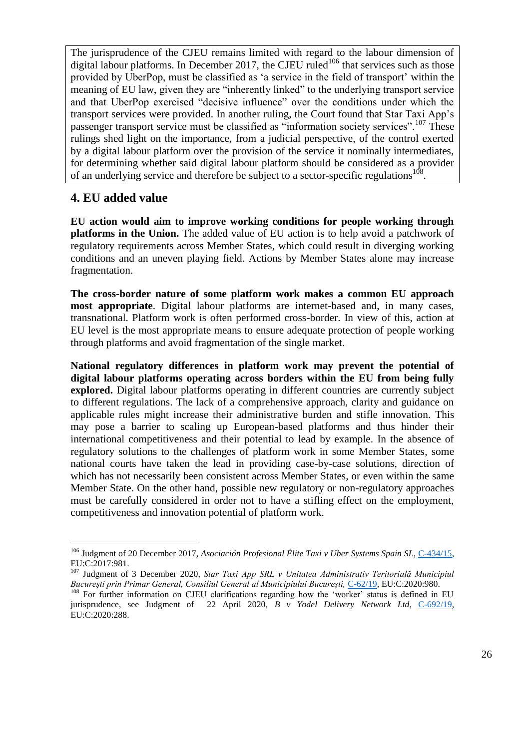The jurisprudence of the CJEU remains limited with regard to the labour dimension of digital labour platforms. In December 2017, the CJEU ruled<sup>106</sup> that services such as those provided by UberPop, must be classified as 'a service in the field of transport' within the meaning of EU law, given they are "inherently linked" to the underlying transport service and that UberPop exercised "decisive influence" over the conditions under which the transport services were provided. In another ruling, the Court found that Star Taxi App's passenger transport service must be classified as "information society services".<sup>107</sup> These rulings shed light on the importance, from a judicial perspective, of the control exerted by a digital labour platform over the provision of the service it nominally intermediates, for determining whether said digital labour platform should be considered as a provider of an underlying service and therefore be subject to a sector-specific regulations<sup>108</sup>.

# **4. EU added value**

 $\overline{a}$ 

**EU action would aim to improve working conditions for people working through platforms in the Union.** The added value of EU action is to help avoid a patchwork of regulatory requirements across Member States, which could result in diverging working conditions and an uneven playing field. Actions by Member States alone may increase fragmentation.

**The cross-border nature of some platform work makes a common EU approach most appropriate**. Digital labour platforms are internet-based and, in many cases, transnational. Platform work is often performed cross-border. In view of this, action at EU level is the most appropriate means to ensure adequate protection of people working through platforms and avoid fragmentation of the single market.

**National regulatory differences in platform work may prevent the potential of digital labour platforms operating across borders within the EU from being fully explored.** Digital labour platforms operating in different countries are currently subject to different regulations. The lack of a comprehensive approach, clarity and guidance on applicable rules might increase their administrative burden and stifle innovation. This may pose a barrier to scaling up European-based platforms and thus hinder their international competitiveness and their potential to lead by example. In the absence of regulatory solutions to the challenges of platform work in some Member States, some national courts have taken the lead in providing case-by-case solutions, direction of which has not necessarily been consistent across Member States, or even within the same Member State. On the other hand, possible new regulatory or non-regulatory approaches must be carefully considered in order not to have a stifling effect on the employment, competitiveness and innovation potential of platform work.

<sup>&</sup>lt;sup>106</sup> Judgment of 20 December 2017, *Asociación Profesional Élite Taxi v Uber Systems Spain SL*, [C-434/15,](http://curia.europa.eu/juris/document/document.jsf?text=&docid=199626&pageIndex=0&doclang=EN&mode=lst&dir=&occ=first&part=1&cid=16290907) EU:C:2017:981.

<sup>107</sup> Judgment of 3 December 2020, *Star Taxi App SRL v Unitatea Administrativ Teritorială Municipiul Bucureşti prin Primar General, Consiliul General al Municipiului Bucureşti,* [C-62/19,](http://curia.europa.eu/juris/document/document.jsf?text=&docid=234921&pageIndex=0&doclang=FR&mode=lst&dir=&occ=first&part=1&cid=16290705) EU:C:2020:980.

<sup>&</sup>lt;sup>108</sup> For further information on CJEU clarifications regarding how the 'worker' status is defined in EU jurisprudence, see Judgment of 22 April 2020, *B v Yodel Delivery Network Ltd*, [C-692/19,](http://curia.europa.eu/juris/document/document.jsf?text=&docid=225922&pageIndex=0&doclang=EN&mode=lst&dir=&occ=first&part=1&cid=563226) EU:C:2020:288.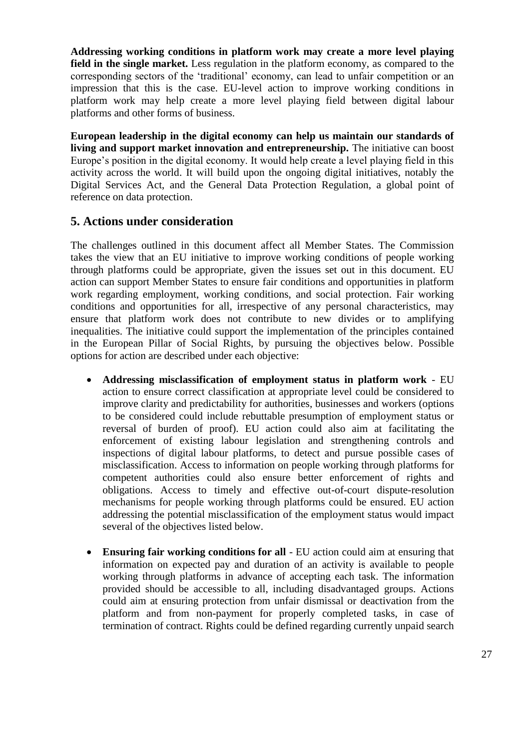**Addressing working conditions in platform work may create a more level playing field in the single market.** Less regulation in the platform economy, as compared to the corresponding sectors of the 'traditional' economy, can lead to unfair competition or an impression that this is the case. EU-level action to improve working conditions in platform work may help create a more level playing field between digital labour platforms and other forms of business.

**European leadership in the digital economy can help us maintain our standards of living and support market innovation and entrepreneurship.** The initiative can boost Europe's position in the digital economy. It would help create a level playing field in this activity across the world. It will build upon the ongoing digital initiatives, notably the Digital Services Act, and the General Data Protection Regulation, a global point of reference on data protection.

## **5. Actions under consideration**

The challenges outlined in this document affect all Member States. The Commission takes the view that an EU initiative to improve working conditions of people working through platforms could be appropriate, given the issues set out in this document. EU action can support Member States to ensure fair conditions and opportunities in platform work regarding employment, working conditions, and social protection. Fair working conditions and opportunities for all, irrespective of any personal characteristics, may ensure that platform work does not contribute to new divides or to amplifying inequalities. The initiative could support the implementation of the principles contained in the European Pillar of Social Rights, by pursuing the objectives below. Possible options for action are described under each objective:

- **Addressing misclassification of employment status in platform work** EU action to ensure correct classification at appropriate level could be considered to improve clarity and predictability for authorities, businesses and workers (options to be considered could include rebuttable presumption of employment status or reversal of burden of proof). EU action could also aim at facilitating the enforcement of existing labour legislation and strengthening controls and inspections of digital labour platforms, to detect and pursue possible cases of misclassification. Access to information on people working through platforms for competent authorities could also ensure better enforcement of rights and obligations. Access to timely and effective out-of-court dispute-resolution mechanisms for people working through platforms could be ensured. EU action addressing the potential misclassification of the employment status would impact several of the objectives listed below.
- **Ensuring fair working conditions for all** EU action could aim at ensuring that information on expected pay and duration of an activity is available to people working through platforms in advance of accepting each task. The information provided should be accessible to all, including disadvantaged groups. Actions could aim at ensuring protection from unfair dismissal or deactivation from the platform and from non-payment for properly completed tasks, in case of termination of contract. Rights could be defined regarding currently unpaid search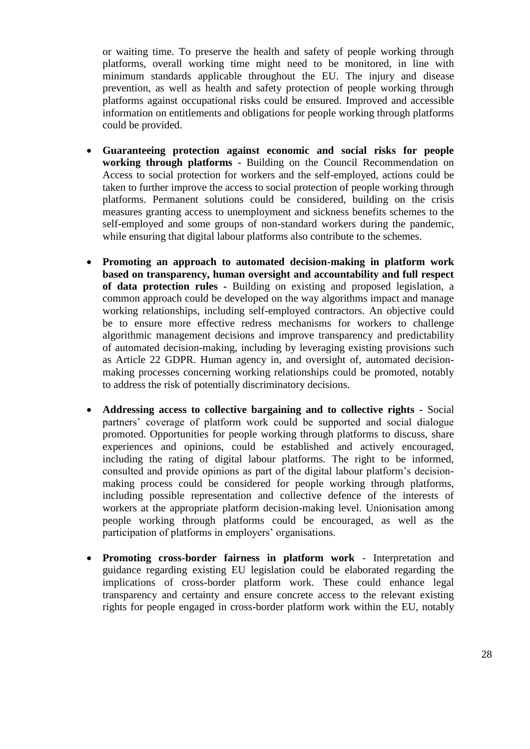or waiting time. To preserve the health and safety of people working through platforms, overall working time might need to be monitored, in line with minimum standards applicable throughout the EU. The injury and disease prevention, as well as health and safety protection of people working through platforms against occupational risks could be ensured. Improved and accessible information on entitlements and obligations for people working through platforms could be provided.

- **Guaranteeing protection against economic and social risks for people working through platforms** - Building on the Council Recommendation on Access to social protection for workers and the self-employed, actions could be taken to further improve the access to social protection of people working through platforms. Permanent solutions could be considered, building on the crisis measures granting access to unemployment and sickness benefits schemes to the self-employed and some groups of non-standard workers during the pandemic, while ensuring that digital labour platforms also contribute to the schemes.
- **Promoting an approach to automated decision-making in platform work based on transparency, human oversight and accountability and full respect of data protection rules -** Building on existing and proposed legislation, a common approach could be developed on the way algorithms impact and manage working relationships, including self-employed contractors. An objective could be to ensure more effective redress mechanisms for workers to challenge algorithmic management decisions and improve transparency and predictability of automated decision-making, including by leveraging existing provisions such as Article 22 GDPR. Human agency in, and oversight of, automated decisionmaking processes concerning working relationships could be promoted, notably to address the risk of potentially discriminatory decisions.
- **Addressing access to collective bargaining and to collective rights -** Social partners' coverage of platform work could be supported and social dialogue promoted. Opportunities for people working through platforms to discuss, share experiences and opinions, could be established and actively encouraged, including the rating of digital labour platforms. The right to be informed, consulted and provide opinions as part of the digital labour platform's decisionmaking process could be considered for people working through platforms, including possible representation and collective defence of the interests of workers at the appropriate platform decision-making level. Unionisation among people working through platforms could be encouraged, as well as the participation of platforms in employers' organisations.
- **Promoting cross-border fairness in platform work** Interpretation and guidance regarding existing EU legislation could be elaborated regarding the implications of cross-border platform work. These could enhance legal transparency and certainty and ensure concrete access to the relevant existing rights for people engaged in cross-border platform work within the EU, notably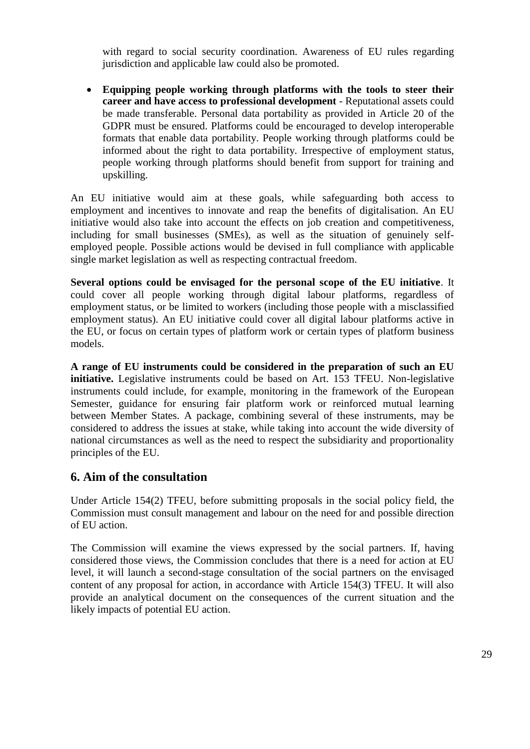with regard to social security coordination. Awareness of EU rules regarding jurisdiction and applicable law could also be promoted.

 **Equipping people working through platforms with the tools to steer their career and have access to professional development** - Reputational assets could be made transferable. Personal data portability as provided in Article 20 of the GDPR must be ensured. Platforms could be encouraged to develop interoperable formats that enable data portability. People working through platforms could be informed about the right to data portability. Irrespective of employment status, people working through platforms should benefit from support for training and upskilling.

An EU initiative would aim at these goals, while safeguarding both access to employment and incentives to innovate and reap the benefits of digitalisation. An EU initiative would also take into account the effects on job creation and competitiveness, including for small businesses (SMEs), as well as the situation of genuinely selfemployed people. Possible actions would be devised in full compliance with applicable single market legislation as well as respecting contractual freedom.

**Several options could be envisaged for the personal scope of the EU initiative**. It could cover all people working through digital labour platforms, regardless of employment status, or be limited to workers (including those people with a misclassified employment status). An EU initiative could cover all digital labour platforms active in the EU, or focus on certain types of platform work or certain types of platform business models.

**A range of EU instruments could be considered in the preparation of such an EU initiative.** Legislative instruments could be based on Art. 153 TFEU. Non-legislative instruments could include, for example, monitoring in the framework of the European Semester, guidance for ensuring fair platform work or reinforced mutual learning between Member States. A package, combining several of these instruments, may be considered to address the issues at stake, while taking into account the wide diversity of national circumstances as well as the need to respect the subsidiarity and proportionality principles of the EU.

## **6. Aim of the consultation**

Under Article 154(2) TFEU, before submitting proposals in the social policy field, the Commission must consult management and labour on the need for and possible direction of EU action.

The Commission will examine the views expressed by the social partners. If, having considered those views, the Commission concludes that there is a need for action at EU level, it will launch a second-stage consultation of the social partners on the envisaged content of any proposal for action, in accordance with Article 154(3) TFEU. It will also provide an analytical document on the consequences of the current situation and the likely impacts of potential EU action.